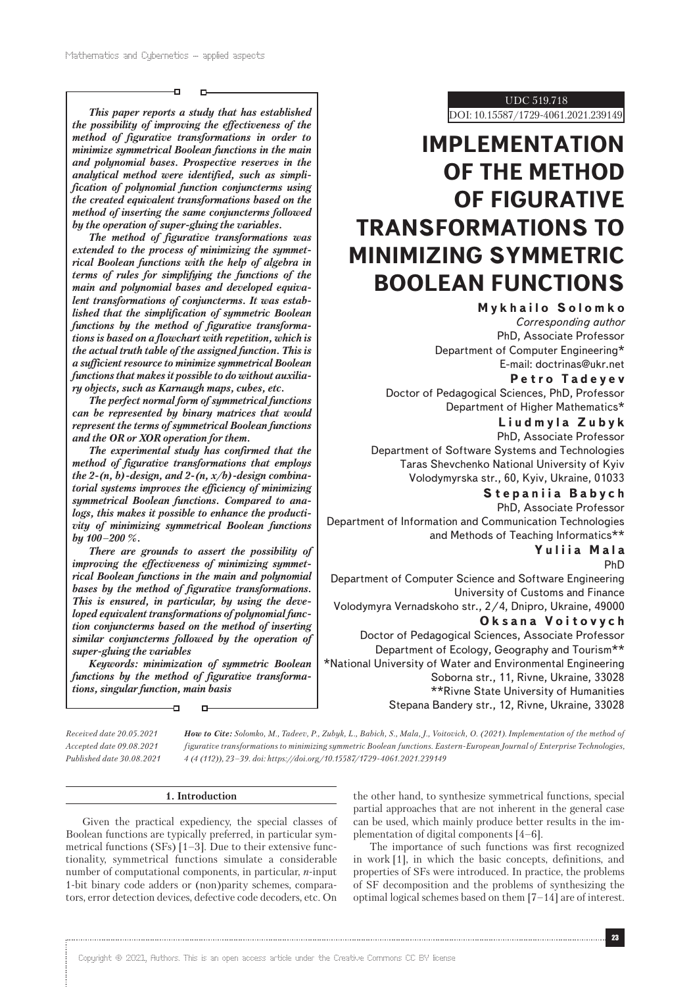o

*This paper reports a study that has established the possibility of improving the effectiveness of the method of figurative transformations in order to minimize symmetrical Boolean functions in the main and polynomial bases. Prospective reserves in the analytical method were identified, such as simplification of polynomial function conjuncterms using the created equivalent transformations based on the method of inserting the same conjuncterms followed by the operation of super-gluing the variables.*

*The method of figurative transformations was extended to the process of minimizing the symmetrical Boolean functions with the help of algebra in terms of rules for simplifying the functions of the main and polynomial bases and developed equivalent transformations of conjuncterms. It was established that the simplification of symmetric Boolean functions by the method of figurative transformations is based on a flowchart with repetition, which is the actual truth table of the assigned function. This is a sufficient resource to minimize symmetrical Boolean functions that makes it possible to do without auxiliary objects, such as Karnaugh maps, cubes, etc.*

*The perfect normal form of symmetrical functions can be represented by binary matrices that would represent the terms of symmetrical Boolean functions and the OR or XOR operation for them.*

*The experimental study has confirmed that the method of figurative transformations that employs the 2-(n, b)-design, and 2-(n, x/b)-design combinatorial systems improves the efficiency of minimizing symmetrical Boolean functions. Compared to analogs, this makes it possible to enhance the productivity of minimizing symmetrical Boolean functions by 100–200 %.*

*There are grounds to assert the possibility of improving the effectiveness of minimizing symmetrical Boolean functions in the main and polynomial bases by the method of figurative transformations. This is ensured, in particular, by using the developed equivalent transformations of polynomial function conjuncterms based on the method of inserting similar conjuncterms followed by the operation of super-gluing the variables*

*Keywords: minimization of symmetric Boolean functions by the method of figurative transformations, singular function, main basis*

Ð

*Received date 20.05.2021 Accepted date 09.08.2021 Published date 30.08.2021* *How to Cite: Solomko, M., Tadeev, P., Zubyk, L., Babich, S., Mala, J., Voitovich, O. (2021). Implementation of the method of figurative transformations to minimizing symmetric Boolean functions. Eastern-European Journal of Enterprise Technologies, 4 (4 (112)), 23–39. doi: https://doi.org/10.15587/1729-4061.2021.239149*

## **1. Introduction**

Given the practical expediency, the special classes of Boolean functions are typically preferred, in particular symmetrical functions (SFs) [1–3]. Due to their extensive functionality, symmetrical functions simulate a considerable number of computational components, in particular, *n*-input 1-bit binary code adders or (non)parity schemes, comparators, error detection devices, defective code decoders, etc. On the other hand, to synthesize symmetrical functions, special partial approaches that are not inherent in the general case can be used, which mainly produce better results in the implementation of digital components [4–6].

The importance of such functions was first recognized in work [1], in which the basic concepts, definitions, and properties of SFs were introduced. In practice, the problems of SF decomposition and the problems of synthesizing the optimal logical schemes based on them [7–14] are of interest.

UDC 519.718

DOI: 10.15587/1729-4061.2021.239149

# **IMPLEMENTATION OF THE METHOD OF FIGURATIVE TRANSFORMATIONS TO MINIMIZING SYMMETRIC BOOLEAN FUNCTIONS**

**Mykhailo Solomko** *Corresponding author* PhD, Associate Professor Department of Computer Engineering\* E-mail: doctrinas@ukr.net

**Petro Tadeyev**

Doctor of Pedagogical Sciences, PhD, Professor Department of Higher Mathematics\*

**Liudmyla Zubyk** PhD, Associate Professor Department of Software Systems and Technologies Taras Shevchenko National University of Kyiv Volodymyrska str., 60, Kyiv, Ukraine, 01033

**Stepaniia Babych**

PhD, Associate Professor Department of Information and Communication Technologies and Methods of Teaching Informatics\*\*

**Yuliia Mala**

PhD

Department of Computer Science and Software Engineering University of Customs and Finance Volodymyra Vernadskoho str., 2/4, Dnipro, Ukraine, 49000

**Oksana Voitovych**

Doctor of Pedagogical Sciences, Associate Professor Department of Ecology, Geography and Tourism\*\* \*National University of Water and Environmental Engineering Soborna str., 11, Rivne, Ukraine, 33028 \*\*Rivne State University of Humanities Stepana Bandery str., 12, Rivne, Ukraine, 33028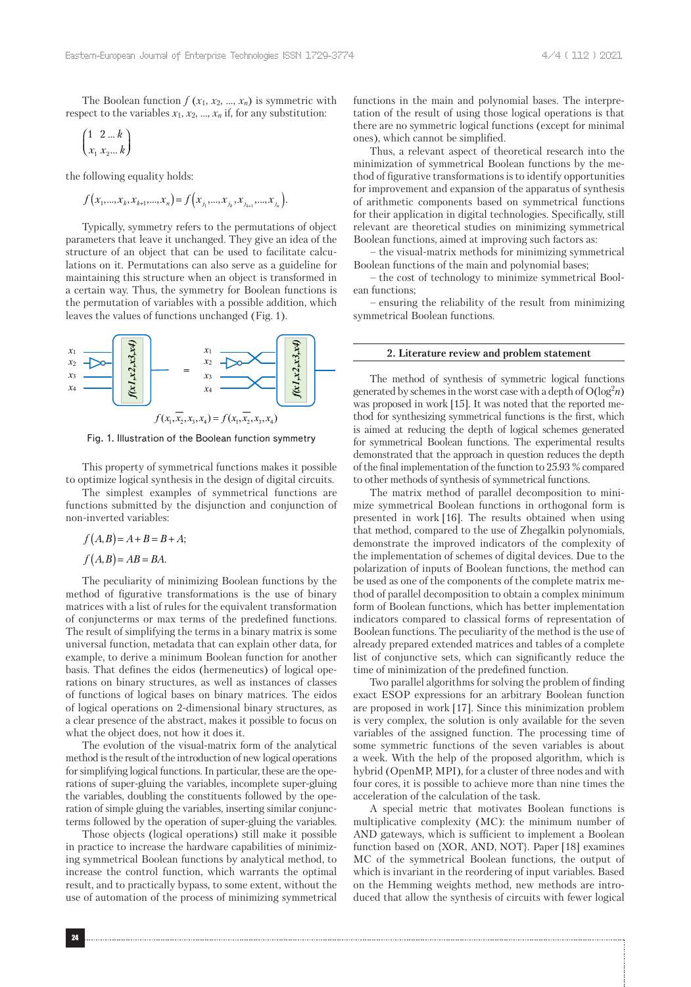The Boolean function  $f(x_1, x_2, ..., x_n)$  is symmetric with respect to the variables  $x_1$ ,  $x_2$ , ...,  $x_n$  if, for any substitution:

$$
\begin{pmatrix} 1 & 2 \dots k \\ x_1 & x_2 \dots k \end{pmatrix}
$$

the following equality holds:

$$
f(x_1,...,x_k,x_{k+1},...,x_n) = f(x_{j_1},...,x_{j_k},x_{j_{k+1}},...,x_{j_n}).
$$

Typically, symmetry refers to the permutations of object parameters that leave it unchanged. They give an idea of the structure of an object that can be used to facilitate calculations on it. Permutations can also serve as a guideline for maintaining this structure when an object is transformed in a certain way. Thus, the symmetry for Boolean functions is the permutation of variables with a possible addition, which leaves the values of functions unchanged (Fig. 1).



Fig. 1. Illustration of the Boolean function symmetry

This property of symmetrical functions makes it possible to optimize logical synthesis in the design of digital circuits.

The simplest examples of symmetrical functions are functions submitted by the disjunction and conjunction of non-inverted variables:

$$
f(A,B) = A + B = B + A;
$$

$$
f(A,B) = AB = BA.
$$

The peculiarity of minimizing Boolean functions by the method of figurative transformations is the use of binary matrices with a list of rules for the equivalent transformation of conjuncterms or max terms of the predefined functions. The result of simplifying the terms in a binary matrix is some universal function, metadata that can explain other data, for example, to derive a minimum Boolean function for another basis. That defines the eidos (hermeneutics) of logical operations on binary structures, as well as instances of classes of functions of logical bases on binary matrices. The eidos of logical operations on 2-dimensional binary structures, as a clear presence of the abstract, makes it possible to focus on what the object does, not how it does it.

The evolution of the visual-matrix form of the analytical method is the result of the introduction of new logical operations for simplifying logical functions. In particular, these are the operations of super-gluing the variables, incomplete super-gluing the variables, doubling the constituents followed by the operation of simple gluing the variables, inserting similar conjuncterms followed by the operation of super-gluing the variables.

Those objects (logical operations) still make it possible in practice to increase the hardware capabilities of minimizing symmetrical Boolean functions by analytical method, to increase the control function, which warrants the optimal result, and to practically bypass, to some extent, without the use of automation of the process of minimizing symmetrical

functions in the main and polynomial bases. The interpretation of the result of using those logical operations is that there are no symmetric logical functions (except for minimal ones), which cannot be simplified.

Thus, a relevant aspect of theoretical research into the minimization of symmetrical Boolean functions by the method of figurative transformations is to identify opportunities for improvement and expansion of the apparatus of synthesis of arithmetic components based on symmetrical functions for their application in digital technologies. Specifically, still relevant are theoretical studies on minimizing symmetrical Boolean functions, aimed at improving such factors as:

– the visual-matrix methods for minimizing symmetrical Boolean functions of the main and polynomial bases;

– the cost of technology to minimize symmetrical Boolean functions;

– ensuring the reliability of the result from minimizing symmetrical Boolean functions.

## **2. Literature review and problem statement**

The method of synthesis of symmetric logical functions generated by schemes in the worst case with a depth of  $O(log^2 n)$ was proposed in work [15]. It was noted that the reported method for synthesizing symmetrical functions is the first, which is aimed at reducing the depth of logical schemes generated for symmetrical Boolean functions. The experimental results demonstrated that the approach in question reduces the depth of the final implementation of the function to 25.93 % compared to other methods of synthesis of symmetrical functions.

The matrix method of parallel decomposition to minimize symmetrical Boolean functions in orthogonal form is presented in work [16]. The results obtained when using that method, compared to the use of Zhegalkin polynomials, demonstrate the improved indicators of the complexity of the implementation of schemes of digital devices. Due to the polarization of inputs of Boolean functions, the method can be used as one of the components of the complete matrix method of parallel decomposition to obtain a complex minimum form of Boolean functions, which has better implementation indicators compared to classical forms of representation of Boolean functions. The peculiarity of the method is the use of already prepared extended matrices and tables of a complete list of conjunctive sets, which can significantly reduce the time of minimization of the predefined function.

Two parallel algorithms for solving the problem of finding exact ESOP expressions for an arbitrary Boolean function are proposed in work [17]. Since this minimization problem is very complex, the solution is only available for the seven variables of the assigned function. The processing time of some symmetric functions of the seven variables is about a week. With the help of the proposed algorithm, which is hybrid (OpenMP, MPI), for a cluster of three nodes and with four cores, it is possible to achieve more than nine times the acceleration of the calculation of the task.

A special metric that motivates Boolean functions is multiplicative complexity (MC): the minimum number of AND gateways, which is sufficient to implement a Boolean function based on {XOR, AND, NOT}. Paper [18] examines MC of the symmetrical Boolean functions, the output of which is invariant in the reordering of input variables. Based on the Hemming weights method, new methods are introduced that allow the synthesis of circuits with fewer logical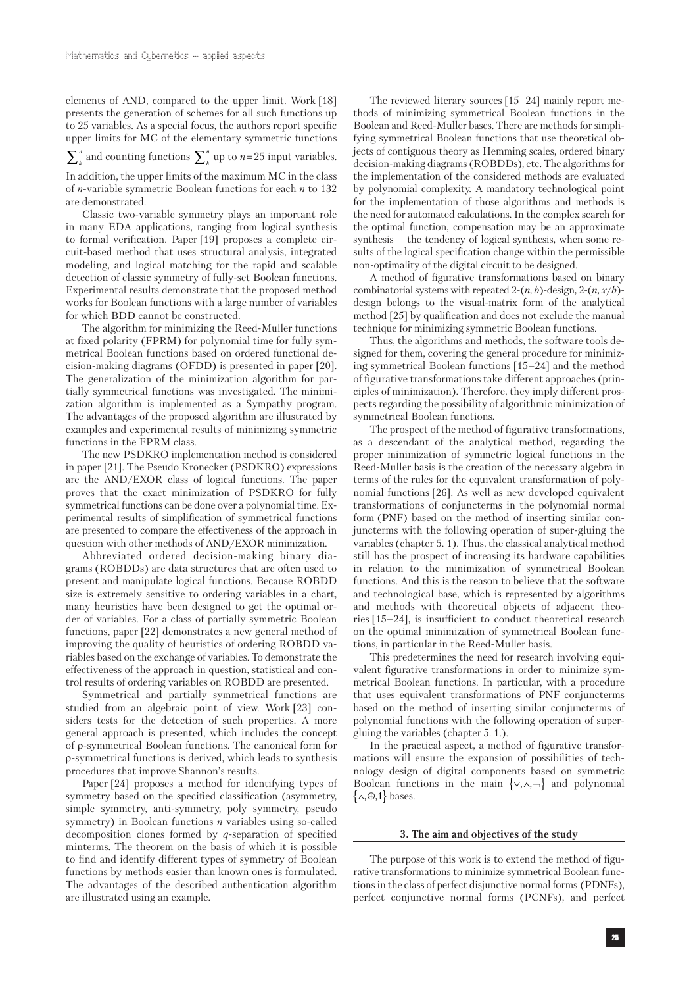elements of AND, compared to the upper limit. Work [18] presents the generation of schemes for all such functions up to 25 variables. As a special focus, the authors report specific upper limits for MC of the elementary symmetric functions

*k*  $\sum_{k}^{n}$  and counting functions  $\sum_{k}^{n}$  up to *n*=25 input variables.

In addition, the upper limits of the maximum MC in the class of *n*-variable symmetric Boolean functions for each *n* to 132 are demonstrated.

Classic two-variable symmetry plays an important role in many EDA applications, ranging from logical synthesis to formal verification. Paper [19] proposes a complete circuit-based method that uses structural analysis, integrated modeling, and logical matching for the rapid and scalable detection of classic symmetry of fully-set Boolean functions. Experimental results demonstrate that the proposed method works for Boolean functions with a large number of variables for which BDD cannot be constructed.

The algorithm for minimizing the Reed-Muller functions at fixed polarity (FPRM) for polynomial time for fully symmetrical Boolean functions based on ordered functional decision-making diagrams (OFDD) is presented in paper [20]. The generalization of the minimization algorithm for partially symmetrical functions was investigated. The minimization algorithm is implemented as a Sympathy program. The advantages of the proposed algorithm are illustrated by examples and experimental results of minimizing symmetric functions in the FPRM class.

The new PSDKRO implementation method is considered in paper [21]. The Pseudo Kronecker (PSDKRO) expressions are the AND/EXOR class of logical functions. The paper proves that the exact minimization of PSDKRO for fully symmetrical functions can be done over a polynomial time. Experimental results of simplification of symmetrical functions are presented to compare the effectiveness of the approach in question with other methods of AND/EXOR minimization.

Abbreviated ordered decision-making binary diagrams (ROBDDs) are data structures that are often used to present and manipulate logical functions. Because ROBDD size is extremely sensitive to ordering variables in a chart, many heuristics have been designed to get the optimal order of variables. For a class of partially symmetric Boolean functions, paper [22] demonstrates a new general method of improving the quality of heuristics of ordering ROBDD variables based on the exchange of variables. To demonstrate the effectiveness of the approach in question, statistical and control results of ordering variables on ROBDD are presented.

Symmetrical and partially symmetrical functions are studied from an algebraic point of view. Work [23] considers tests for the detection of such properties. A more general approach is presented, which includes the concept of ρ-symmetrical Boolean functions. The canonical form for ρ-symmetrical functions is derived, which leads to synthesis procedures that improve Shannon's results.

Paper [24] proposes a method for identifying types of symmetry based on the specified classification (asymmetry, simple symmetry, anti-symmetry, poly symmetry, pseudo symmetry) in Boolean functions *n* variables using so-called decomposition clones formed by *q*-separation of specified minterms. The theorem on the basis of which it is possible to find and identify different types of symmetry of Boolean functions by methods easier than known ones is formulated. The advantages of the described authentication algorithm are illustrated using an example.

The reviewed literary sources [15–24] mainly report methods of minimizing symmetrical Boolean functions in the Boolean and Reed-Muller bases. There are methods for simplifying symmetrical Boolean functions that use theoretical objects of contiguous theory as Hemming scales, ordered binary decision-making diagrams (ROBDDs), etc. The algorithms for the implementation of the considered methods are evaluated by polynomial complexity. A mandatory technological point for the implementation of those algorithms and methods is the need for automated calculations. In the complex search for the optimal function, compensation may be an approximate synthesis – the tendency of logical synthesis, when some results of the logical specification change within the permissible non-optimality of the digital circuit to be designed.

A method of figurative transformations based on binary combinatorial systems with repeated 2-(*n*, *b*)-design, 2-(*n, x*/*b*) design belongs to the visual-matrix form of the analytical method [25] by qualification and does not exclude the manual technique for minimizing symmetric Boolean functions.

Thus, the algorithms and methods, the software tools designed for them, covering the general procedure for minimizing symmetrical Boolean functions [15–24] and the method of figurative transformations take different approaches (principles of minimization). Therefore, they imply different prospects regarding the possibility of algorithmic minimization of symmetrical Boolean functions.

The prospect of the method of figurative transformations, as a descendant of the analytical method, regarding the proper minimization of symmetric logical functions in the Reed-Muller basis is the creation of the necessary algebra in terms of the rules for the equivalent transformation of polynomial functions [26]. As well as new developed equivalent transformations of conjuncterms in the polynomial normal form (PNF) based on the method of inserting similar conjuncterms with the following operation of super-gluing the variables (chapter 5. 1). Thus, the classical analytical method still has the prospect of increasing its hardware capabilities in relation to the minimization of symmetrical Boolean functions. And this is the reason to believe that the software and technological base, which is represented by algorithms and methods with theoretical objects of adjacent theories [15–24], is insufficient to conduct theoretical research on the optimal minimization of symmetrical Boolean functions, in particular in the Reed-Muller basis.

This predetermines the need for research involving equivalent figurative transformations in order to minimize symmetrical Boolean functions. In particular, with a procedure that uses equivalent transformations of PNF conjuncterms based on the method of inserting similar conjuncterms of polynomial functions with the following operation of supergluing the variables (chapter 5. 1.).

In the practical aspect, a method of figurative transformations will ensure the expansion of possibilities of technology design of digital components based on symmetric Boolean functions in the main  $\{ \vee, \wedge, \neg \}$  and polynomial  ${ \wedge, \oplus, 1 }$  bases.

#### **3. The aim and objectives of the study**

The purpose of this work is to extend the method of figurative transformations to minimize symmetrical Boolean functions in the class of perfect disjunctive normal forms (PDNFs), perfect conjunctive normal forms (PCNFs), and perfect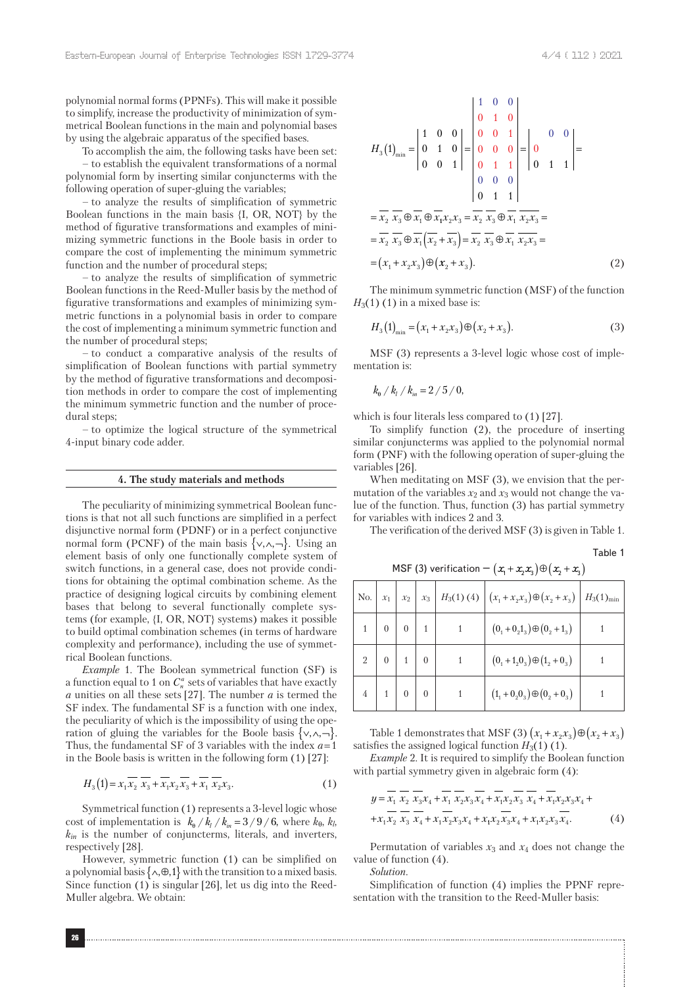polynomial normal forms (PPNFs). This will make it possible to simplify, increase the productivity of minimization of symmetrical Boolean functions in the main and polynomial bases by using the algebraic apparatus of the specified bases.

To accomplish the aim, the following tasks have been set:

– to establish the equivalent transformations of a normal polynomial form by inserting similar conjuncterms with the following operation of super-gluing the variables;

– to analyze the results of simplification of symmetric Boolean functions in the main basis {I, OR, NOT} by the method of figurative transformations and examples of minimizing symmetric functions in the Boole basis in order to compare the cost of implementing the minimum symmetric function and the number of procedural steps;

– to analyze the results of simplification of symmetric Boolean functions in the Reed-Muller basis by the method of figurative transformations and examples of minimizing symmetric functions in a polynomial basis in order to compare the cost of implementing a minimum symmetric function and the number of procedural steps;

– to conduct a comparative analysis of the results of simplification of Boolean functions with partial symmetry by the method of figurative transformations and decomposition methods in order to compare the cost of implementing the minimum symmetric function and the number of procedural steps;

– to optimize the logical structure of the symmetrical 4-input binary code adder.

#### **4. The study materials and methods**

The peculiarity of minimizing symmetrical Boolean functions is that not all such functions are simplified in a perfect disjunctive normal form (PDNF) or in a perfect conjunctive normal form (PCNF) of the main basis  $\{ \vee, \wedge, \neg \}$ . Using an element basis of only one functionally complete system of switch functions, in a general case, does not provide conditions for obtaining the optimal combination scheme. As the practice of designing logical circuits by combining element bases that belong to several functionally complete systems (for example, {I, OR, NOT} systems) makes it possible to build optimal combination schemes (in terms of hardware complexity and performance), including the use of symmetrical Boolean functions.

*Example* 1. The Boolean symmetrical function (SF) is a function equal to 1 on  $C_n^a$  sets of variables that have exactly *a* unities on all these sets [27]. The number *a* is termed the SF index. The fundamental SF is a function with one index, the peculiarity of which is the impossibility of using the operation of gluing the variables for the Boole basis  $\{ \vee, \wedge, \neg \}.$ Thus, the fundamental SF of 3 variables with the index *a* = 1 in the Boole basis is written in the following form (1) [27]:

$$
H_3(1) = x_1 \overline{x_2} \ \overline{x_3} + \overline{x_1} x_2 \overline{x_3} + \overline{x_1} \ \overline{x_2} x_3. \tag{1}
$$

Symmetrical function (1) represents a 3-level logic whose cost of implementation is  $k_{\theta} / k_{\mu} / k_{\mu} = 3 / 9 / 6$ , where  $k_{\theta}$ ,  $k_{\theta}$ , *kin* is the number of conjuncterms, literals, and inverters, respectively [28].

However, symmetric function (1) can be simplified on a polynomial basis  $\{\wedge, \oplus, 1\}$  with the transition to a mixed basis. Since function (1) is singular [26], let us dig into the Reed-Muller algebra. We obtain:

$$
H_3(1)_{\min} = \begin{vmatrix} 1 & 0 & 0 \\ 0 & 1 & 0 \\ 0 & 0 & 1 \end{vmatrix} = \begin{vmatrix} 1 & 0 & 0 \\ 0 & 1 & 0 \\ 0 & 0 & 0 \\ 0 & 1 & 1 \end{vmatrix} = \begin{vmatrix} 0 & 0 & 0 \\ 0 & 0 & 1 \\ 0 & 1 & 1 \end{vmatrix} = \frac{\overline{x_2}}{x_3} \overline{x_3} \oplus \overline{x_1} \oplus \overline{x_1} x_2 x_3 = \overline{x_2} \overline{x_3} \oplus \overline{x_1} \overline{x_2} \overline{x_3} = \overline{x_2} \overline{x_3} \oplus \overline{x_1} \overline{x_2} \overline{x_3} = \overline{x_2} \overline{x_3} \oplus \overline{x_1} \overline{x_2} \overline{x_3} = \overline{x_2} \overline{x_3} \oplus \overline{x_1} \overline{x_2} \overline{x_3} = \overline{x_2} \overline{x_3} \oplus \overline{x_1} \overline{x_2} \overline{x_3} = \overline{x_2} \overline{x_3} \oplus \overline{x_1} \overline{x_2} \overline{x_3} = \overline{x_2} \overline{x_3} \oplus \overline{x_1} \overline{x_2} \overline{x_3} = \overline{x_2} \overline{x_3} \oplus \overline{x_1} \overline{x_2} \overline{x_3} = \overline{x_2} \overline{x_3} \oplus \overline{x_1} \overline{x_2} \overline{x_3} = \overline{x_2} \overline{x_3} \oplus \overline{x_1} \overline{x_2} \overline{x_3} = \overline{x_2} \overline{x_3} \oplus \overline{x_1} \overline{x_2} \overline{x_3} = \overline{x_2} \overline{x_3} \oplus \overline{x_1} \overline{x_2} \overline{x_3} = \overline{x_2} \overline{x_3} \oplus \overline{x_1} \overline{x_2} \overline{x_3} = \overline{x_2} \overline{x_3} \oplus \overline{x_1} \overline{x_2} \overline{x_3} = \overline{x_2} \overline{x_3} \overline{x_3} \oplus \overline{x
$$

The minimum symmetric function (MSF) of the function *H*<sub>3</sub>(1) (1) in a mixed base is:

$$
H_3(1)_{\min} = (x_1 + x_2 x_3) \oplus (x_2 + x_3).
$$
 (3)

MSF (3) represents a 3-level logic whose cost of implementation is:

$$
k_{\rm e} / k_{\rm i} / k_{\rm in} = 2 / 5 / 0,
$$

which is four literals less compared to (1) [27].

To simplify function (2), the procedure of inserting similar conjuncterms was applied to the polynomial normal form (PNF) with the following operation of super-gluing the variables [26].

When meditating on MSF (3), we envision that the permutation of the variables  $x_2$  and  $x_3$  would not change the value of the function. Thus, function (3) has partial symmetry for variables with indices 2 and 3.

MSF (3) verification –  $(x_1 + x_2 x_3) \oplus (x_2 + x_3)$ 

The verification of the derived MSF (3) is given in Table 1.

Table 1

|     |            |                 |              |                     | .                                                                                                           |                       |
|-----|------------|-----------------|--------------|---------------------|-------------------------------------------------------------------------------------------------------------|-----------------------|
| No. | $x_1$      | $\mid x_2 \mid$ |              | $x_3$   $H_3(1)(4)$ | $\left(x_1 + x_2x_3\right) \oplus \left(x_2 + x_3\right)$                                                   | $H_3(1)_{\text{min}}$ |
|     |            |                 |              |                     | $(0_1 + 0_2 1_3) \oplus (0_2 + 1_3)$                                                                        |                       |
|     | $2 \mid 0$ |                 |              |                     | $(0_1 + 1_2 0_3) \oplus (1_2 + 0_3)$                                                                        |                       |
|     |            |                 | $\mathbf{0}$ |                     | $\left( \mathbf{1}_1 + \mathbf{0}_2 \mathbf{0}_3 \right) \oplus \left( \mathbf{0}_2 + \mathbf{0}_3 \right)$ |                       |

Table 1 demonstrates that MSF (3)  $(x_1 + x_2x_3) \oplus (x_2 + x_3)$ satisfies the assigned logical function  $H_3(1)$  (1).

*Example* 2. It is required to simplify the Boolean function with partial symmetry given in algebraic form (4):

$$
y = \overline{x_1} \overline{x_2} \overline{x_3} x_4 + \overline{x_1} \overline{x_2} x_3 \overline{x_4} + \overline{x_1} x_2 \overline{x_3} \overline{x_4} + \overline{x_1} x_2 x_3 x_4 ++ x_1 \overline{x_2} \overline{x_3} \overline{x_4} + x_1 \overline{x_2} x_3 x_4 + x_1 x_2 \overline{x_3} x_4 + x_1 x_2 x_3 \overline{x_4}.
$$
 (4)

Permutation of variables  $x_3$  and  $x_4$  does not change the value of function (4).

*Solution*.

Simplification of function (4) implies the PPNF representation with the transition to the Reed-Muller basis: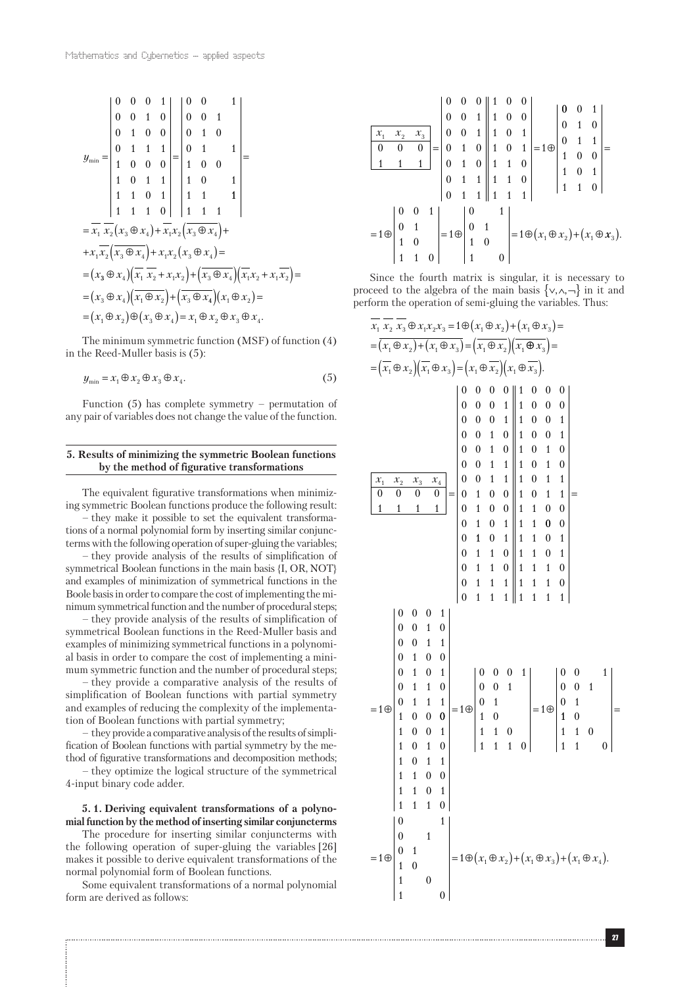$$
y_{\min} = \begin{vmatrix} 0 & 0 & 0 & 1 \\ 0 & 0 & 1 & 0 \\ 0 & 1 & 0 & 0 \\ 1 & 0 & 0 & 0 \\ 1 & 0 & 1 & 1 \\ 1 & 1 & 0 & 1 \\ 1 & 1 & 1 & 0 \end{vmatrix} = \begin{vmatrix} 0 & 0 & 1 \\ 0 & 0 & 1 \\ 0 & 1 & 0 \\ 1 & 0 & 0 \\ 1 & 0 & 1 \\ 1 & 1 & 1 \end{vmatrix} = \frac{1}{2}
$$
  
=  $\overline{x}_1 \overline{x}_2 (x_3 \oplus x_4) + \overline{x}_1 x_2 (x_3 \oplus x_4) + \overline{x}_1 x_2 (x_3 \oplus x_4) + \overline{x}_1 \overline{x}_2 (x_3 \oplus x_4) + \overline{x}_1 \overline{x}_2 (x_3 \oplus x_4) + \overline{x}_1 \overline{x}_2 (x_3 \oplus x_4) + \overline{x}_1 \overline{x}_2 (x_3 \oplus x_4) + \overline{x}_1 \overline{x}_2 (x_3 \oplus x_4) = \overline{x}_1 \oplus x_2 \oplus x_3 \oplus x_4$   
=  $(x_3 \oplus x_4) (\overline{x}_1 \overline{x}_2 + x_1 x_2) + (\overline{x}_3 \oplus x_4) (\overline{x}_1 x_2 + x_1 \overline{x}_2) = \overline{x}_1 \oplus x_2 \oplus x_3 \oplus x_4.$ 

The minimum symmetric function (MSF) of function (4) in the Reed-Muller basis is (5):

$$
y_{\min} = x_1 \oplus x_2 \oplus x_3 \oplus x_4. \tag{5}
$$

Function  $(5)$  has complete symmetry – permutation of any pair of variables does not change the value of the function.

## **5. Results of minimizing the symmetric Boolean functions by the method of figurative transformations**

The equivalent figurative transformations when minimizing symmetric Boolean functions produce the following result: – they make it possible to set the equivalent transformations of a normal polynomial form by inserting similar conjuncterms with the following operation of super-gluing the variables; – they provide analysis of the results of simplification of

symmetrical Boolean functions in the main basis {I, OR, NOT} and examples of minimization of symmetrical functions in the Boole basis in order to compare the cost of implementing the minimum symmetrical function and the number of procedural steps;

– they provide analysis of the results of simplification of symmetrical Boolean functions in the Reed-Muller basis and examples of minimizing symmetrical functions in a polynomial basis in order to compare the cost of implementing a minimum symmetric function and the number of procedural steps;

– they provide a comparative analysis of the results of simplification of Boolean functions with partial symmetry and examples of reducing the complexity of the implementation of Boolean functions with partial symmetry;

– they provide a comparative analysis of the results of simplification of Boolean functions with partial symmetry by the method of figurative transformations and decomposition methods;

– they optimize the logical structure of the symmetrical 4-input binary code adder.

# **5. 1. Deriving equivalent transformations of a polynomial function by the method of inserting similar conjuncterms**

The procedure for inserting similar conjuncterms with the following operation of super-gluing the variables [26] makes it possible to derive equivalent transformations of the normal polynomial form of Boolean functions.

Some equivalent transformations of a normal polynomial form are derived as follows:



Since the fourth matrix is singular, it is necessary to proceed to the algebra of the main basis  $\{\vee, \wedge, \neg\}$  in it and perform the operation of semi-gluing the variables. Thus:

*x x x x x x x x x x x x x x x x x* 1 2 3 1 2 3 1 2 1 3 1 2 1 3 1 2 1 ⊕ = 1⊕ ⊕ ( ) + ⊕ ( ) = = ⊕ ( ) + ⊕ ( ) = ⊕ ( )( ) ⊕ = = ⊕ ( )( ) ⊕ = ⊕ ( )( ) ⊕ *x x x x x x x x x* 3 1 2 1 3 1 2 1 3 . *x x x x* 1 2 3 4 0 0 0 0 1 1 1 1 0000 000 1 000 1 0010 0010 0011 0011 0 1 0 0 0 1 0 0 0 1 0 1 0 = 1 0 1 0 1 1 0 0 1 1 0 0 111 0 111 1 000 1 000 1 0 0 1 1 0 0 1 1 0 1 0 1 0 1 0 1 0 1 1 1 0 1 1 1 1 0 0 1 1 0 0 1 1 0 1 1 1 0 1 1 1 1 0 1 1 1 0 1 111 1 000 1 0010 0011 0 1 0 0 0 1 0 1 0 1 1 0 0 111 1 0 0 = = ⊕ <sup>0</sup> 1 0 0 1 1 0 1 0 1 0 1 1 1100 1101 111 0 1 000 1 0 0 1 0 1 1 0 1 1 0 111 0 1 0 0 1 0 0 1 0 1 = ⊕ = ⊕ 1 0 1 1 0 1 1 0 1 0 1 0 1 0 1 1 0 1 0 1 0 1 1 2 1 3 1 4 = = ⊕ = ⊕( ) *x x* ⊕ + ⊕ ( ) *x x* + ⊕ ( ) *x x* .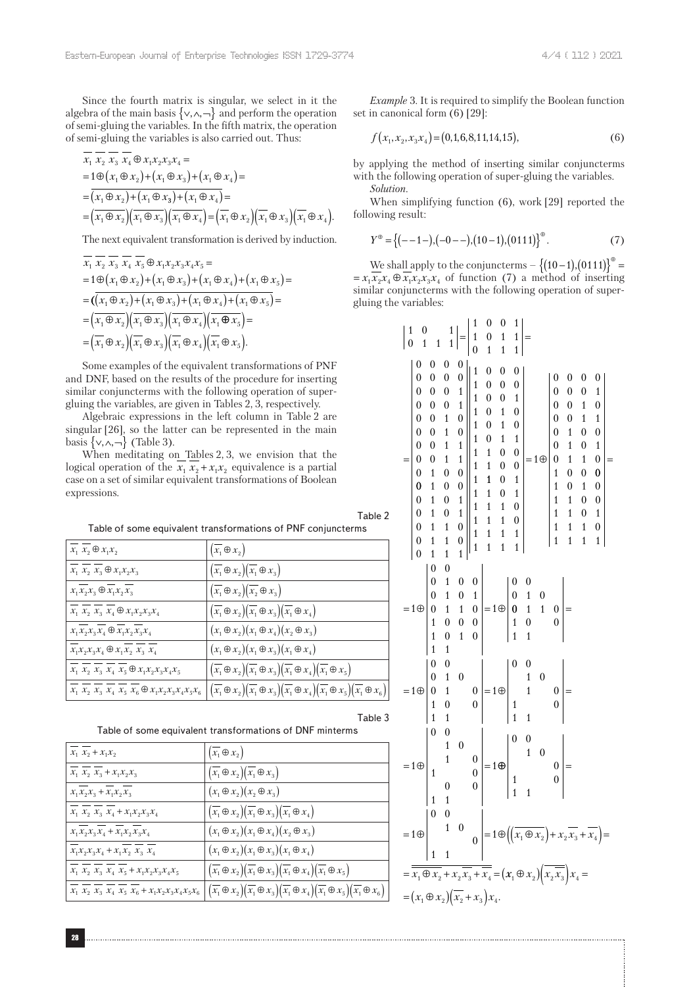Since the fourth matrix is singular, we select in it the algebra of the main basis  $\{ \vee, \wedge, \neg \}$  and perform the operation of semi-gluing the variables. In the fifth matrix, the operation of semi-gluing the variables is also carried out. Thus:

$$
x_1 x_2 x_3 x_4 \oplus x_1 x_2 x_3 x_4 =
$$
  
=  $1 \oplus (x_1 \oplus x_2) + (x_1 \oplus x_3) + (x_1 \oplus x_4) =$   
=  $(x_1 \oplus x_2) + (x_1 \oplus x_3) + (x_1 \oplus x_4) =$   
=  $(x_1 \oplus x_2) (\overline{x_1} \oplus x_3) (\overline{x_1} \oplus x_4) = (\overline{x_1} \oplus x_2) (\overline{x_1} \oplus x_3) (\overline{x_1} \oplus x_4).$ 

The next equivalent transformation is derived by induction.

$$
\overline{x}_1 \overline{x}_2 \overline{x}_3 \overline{x}_4 \overline{x}_5 \oplus x_1 x_2 x_3 x_4 x_5 =
$$
\n
$$
= 1 \oplus (x_1 \oplus x_2) + (x_1 \oplus x_3) + (x_1 \oplus x_4) + (x_1 \oplus x_5) =
$$
\n
$$
= (\overline{(x_1 \oplus x_2) + (x_1 \oplus x_3) + (x_1 \oplus x_4) + (x_1 \oplus x_5)} =
$$
\n
$$
= (\overline{x_1 \oplus x_2})(\overline{x_1 \oplus x_3})(\overline{x_1 \oplus x_4})(\overline{x_1 \oplus x_5}) =
$$
\n
$$
= (\overline{x_1} \oplus x_2)(\overline{x_1} \oplus x_3)(\overline{x_1} \oplus x_4)(\overline{x_1} \oplus x_5).
$$

Some examples of the equivalent transformations of PNF and DNF, based on the results of the procedure for inserting similar conjuncterms with the following operation of supergluing the variables, are given in Tables 2, 3, respectively.

Algebraic expressions in the left column in Table 2 are singular [26], so the latter can be represented in the main basis  $\{ \vee, \wedge, \neg \}$  (Table 3).

When meditating on Tables 2, 3, we envision that the logical operation of the  $x_1 x_2 + x_1 x_2$  equivalence is a partial case on a set of similar equivalent transformations of Boolean expressions.

| $\overline{x}_1$ $x_2 \oplus x_1x_2$                                                                                                                                                                                                  | $\left(\overline{x_1}\oplus x_2\right)$                                                                                                                                                          |
|---------------------------------------------------------------------------------------------------------------------------------------------------------------------------------------------------------------------------------------|--------------------------------------------------------------------------------------------------------------------------------------------------------------------------------------------------|
| $\overline{x_1}\,\,x_2\,\,x_3 \oplus x_1x_2x_3$                                                                                                                                                                                       | $\left(\overline{x_1}\oplus\overline{x_2}\right)\left(\overline{x_1}\oplus\overline{x_3}\right)$                                                                                                 |
| $x_1x_2x_3 \oplus x_1x_2x_3$                                                                                                                                                                                                          | $\left(x_1 \oplus x_2\right)\left(x_2 \oplus x_3\right)$                                                                                                                                         |
| $x_1\,\,x_2\,\,x_3\,\,x_4 \oplus x_1x_2x_3x_4$                                                                                                                                                                                        | $\left(\overline{x_1} \oplus x_2\right) \left(\overline{x_1} \oplus x_3\right) \left(\overline{x_1} \oplus x_4\right)$                                                                           |
| $x_1x_2x_3x_4$ $\oplus$ $\overline{x_1x_2x_3x_4}$                                                                                                                                                                                     | $(x_1 \oplus x_2)(x_1 \oplus x_4)(x_2 \oplus x_3)$                                                                                                                                               |
| $\overline{x_{\scriptscriptstyle 1}} x_{\scriptscriptstyle 2} x_{\scriptscriptstyle 3} x_{\scriptscriptstyle 4} \oplus x_{\scriptscriptstyle 1} x_{\scriptscriptstyle 2} \,\, x_{\scriptscriptstyle 3} \,\, x_{\scriptscriptstyle 4}$ | $(x_1 \oplus x_2)(x_1 \oplus x_3)(x_1 \oplus x_4)$                                                                                                                                               |
| $x_1 x_2 x_3 x_4 x_5 \oplus x_1 x_2 x_3 x_4 x_5$                                                                                                                                                                                      | $\left(\overline{x_1}\oplus\overline{x_2}\right)\left(\overline{x_1}\oplus\overline{x_3}\right)\left(\overline{x_1}\oplus\overline{x_4}\right)\left(\overline{x_1}\oplus\overline{x_5}\right)$   |
| $x_1 \ x_2 \ x_3 \ x_4 \ x_5 \ x_6 \oplus x_1 x_2 x_3 x_4 x_5 x_6$                                                                                                                                                                    | $\left(\overline{x_1} \oplus x_2\right)\left(\overline{x_1} \oplus x_3\right)\left(\overline{x_1} \oplus x_4\right)\left(\overline{x_1} \oplus x_5\right)\left(\overline{x_1} \oplus x_6\right)$ |

| $x_1 x_2 + x_1 x_2$                                 | $\left(\overline{x_1}\oplus x_2\right)$                                                                                                                                                                                                       |
|-----------------------------------------------------|-----------------------------------------------------------------------------------------------------------------------------------------------------------------------------------------------------------------------------------------------|
| $x_1 x_2 x_3 + x_1 x_2 x_3$                         | $\left(\overline{x_1}\oplus x_2\right)\left(\overline{x_1}\oplus x_3\right)$                                                                                                                                                                  |
| $x_1x_2x_3 + x_1x_2x_3$                             | $(x_1 \oplus x_2)(x_2 \oplus x_3)$                                                                                                                                                                                                            |
| $x_1 x_2 x_3 x_4 + x_1 x_2 x_3 x_4$                 | $\left(x_1 \oplus x_2\right)\left(x_1 \oplus x_3\right)\left(x_1 \oplus x_4\right)$                                                                                                                                                           |
| $x_1x_2x_3x_4 + x_1x_2x_3x_4$                       | $(x_1 \oplus x_2)(x_1 \oplus x_4)(x_2 \oplus x_3)$                                                                                                                                                                                            |
| $x_1x_2x_3x_4 + x_1x_2x_3x_4$                       | $(x_1 \oplus x_2)(x_1 \oplus x_3)(x_1 \oplus x_4)$                                                                                                                                                                                            |
| $x_1 x_2 x_3 x_4 x_5 + x_1 x_2 x_3 x_4 x_5$         | $\left(\overline{x_1} \oplus x_2\right)\left(\overline{x_1} \oplus x_3\right)\left(\overline{x_1} \oplus x_4\right)\left(\overline{x_1} \oplus x_5\right)$                                                                                    |
| $x_1 x_2 x_3 x_4 x_5 x_6 + x_1 x_2 x_3 x_4 x_5 x_6$ | $\left(\overline{x_1}\oplus\overline{x_2}\right)\left(\overline{x_1}\oplus\overline{x_3}\right)\left(\overline{x_1}\oplus\overline{x_4}\right)\left(\overline{x_1}\oplus\overline{x_5}\right)\left(\overline{x_1}\oplus\overline{x_6}\right)$ |

*Example* 3. It is required to simplify the Boolean function set in canonical form (6) [29]:

$$
f(x_1, x_2, x_3x_4) = (0, 1, 6, 8, 11, 14, 15),
$$
\n(6)

by applying the method of inserting similar conjuncterms with the following operation of super-gluing the variables. *Solution*.

When simplifying function (6), work [29] reported the following result:

$$
Y^{\oplus} = \left\{ (-1)^{-}, (-0)^{-}, (10)^{-}, (0111)^{\oplus} \right\}^{\oplus}.
$$
 (7)

We shall apply to the conjuncterms  $- \{(10-1), (0111)\}^{\oplus} =$  $\mathcal{L}_{5}$  =  $x_1 x_2 x_4 \oplus x_1 x_2 x_3 x_4$  of function (7) a method of inserting similar conjuncterms with the following operation of supergluing the variables:

|                                        | $\begin{matrix}0\\1\end{matrix}$<br>$\begin{pmatrix} 1 \\ 0 \end{pmatrix}$                                                                                                                                                                                                                                          | $\mathbf{1}$                            |                                                                                                                                                | $\begin{bmatrix} 1 \\ 1 \end{bmatrix} = \begin{bmatrix} 1 \\ 1 \\ 0 \end{bmatrix}$                                                                                                                                                                      |                                                                                                                                                                                    | $\boldsymbol{0}$<br>$\begin{matrix}0\\1\end{matrix}$                                                                                                                                                      | $\boldsymbol{0}$<br>$\mathbf{1}$                                                                                                                                                                                            | $1\vert$                                                                                                                                                                                                                                                         |                                                                                                                                                                                                                                                                              |                                                                                                                                                                                                                            |                                                                                                                                                                                                                           |                                                                                                                                                                                                                           |                                                                                                                                                                                                                      |     |
|----------------------------------------|---------------------------------------------------------------------------------------------------------------------------------------------------------------------------------------------------------------------------------------------------------------------------------------------------------------------|-----------------------------------------|------------------------------------------------------------------------------------------------------------------------------------------------|---------------------------------------------------------------------------------------------------------------------------------------------------------------------------------------------------------------------------------------------------------|------------------------------------------------------------------------------------------------------------------------------------------------------------------------------------|-----------------------------------------------------------------------------------------------------------------------------------------------------------------------------------------------------------|-----------------------------------------------------------------------------------------------------------------------------------------------------------------------------------------------------------------------------|------------------------------------------------------------------------------------------------------------------------------------------------------------------------------------------------------------------------------------------------------------------|------------------------------------------------------------------------------------------------------------------------------------------------------------------------------------------------------------------------------------------------------------------------------|----------------------------------------------------------------------------------------------------------------------------------------------------------------------------------------------------------------------------|---------------------------------------------------------------------------------------------------------------------------------------------------------------------------------------------------------------------------|---------------------------------------------------------------------------------------------------------------------------------------------------------------------------------------------------------------------------|----------------------------------------------------------------------------------------------------------------------------------------------------------------------------------------------------------------------|-----|
| Table 2<br>ms                          | $\boldsymbol{0}$<br>$\begin{bmatrix} 0 & 0 & 0 \ 0 & 0 & 0 \ 0 & 0 & 0 \ 0 & 0 & 0 \ 0 & 0 & 1 \ 0 & 1 & 1 \ 0 & 1 & 0 \ 0 & 1 & 0 \ 0 & 1 & 0 \ 0 & 1 & 0 \ 0 & 1 & 0 \ 0 & 1 & 0 \ 0 & 1 & 0 \ 0 & 0 & 1 \ 0 & 0 & 1 \ 0 & 0 & 1 \ 0 & 0 & 1 \ 0 & 0 & 1 \ 0 & 0 & 1 \ 0 & 0 & 0 \end{bmatrix}$<br>$\overline{0}$ | 0<br>$\boldsymbol{0}$<br>$\overline{1}$ | $\boldsymbol{0}$<br>$\boldsymbol{0}$<br>$0$<br>$0$<br>$1$<br>$1$<br>$1$<br>$0$<br>$0$<br>$0$<br>$1$<br>$1$<br>$\overline{1}$<br>$\overline{1}$ | $\boldsymbol{0}$<br>$\overline{0}$<br>$\mathbf{1}$<br>$\mathbf{1}$<br>$\boldsymbol{0}$<br>$\boldsymbol{0}$<br>$\mathbf{1}$<br>$\begin{matrix} 1 \\ 0 \\ 0 \end{matrix}$<br>$\mathbf{1}$<br>$\begin{array}{c} 1 \\ 0 \\ 0 \end{array}$<br>$\overline{1}$ | 1<br>$\overline{1}$<br>$\overline{1}$<br>$\frac{1}{1}$<br>$\overline{1}$<br>$\mathbf{1}$<br>$\mathbf{1}$<br>$\begin{array}{c} 1 \\ 1 \\ 1 \\ 1 \\ 1 \end{array}$<br>$\overline{1}$ | $\boldsymbol{0}$<br>$\begin{array}{c} 0 \ 0 \ 0 \ 0 \ 0 \end{array}$<br>$\overline{0}$<br>$\frac{1}{1}$<br>$\mathbf{1}$<br>$\begin{array}{c} 1 \\ 1 \\ 1 \end{array}$<br>$\overline{1}$<br>$\overline{1}$ | $\overline{1}$<br>$\boldsymbol{0}$<br>$\boldsymbol{0}$<br>$\begin{array}{c} 0 \\ 1 \\ 1 \end{array}$<br>$\overline{1}$<br>$\begin{matrix}0\0\0\end{matrix}$<br>$\begin{array}{c} 0 \\ 1 \\ 1 \end{array}$<br>$\overline{1}$ | $\overline{1}$<br>0<br>$\boldsymbol{0}$<br>$\,$ 1 $\,$<br>$\boldsymbol{0}$<br>$\boldsymbol{0}$<br>$\mathbf 1$<br>$\boldsymbol{0}$<br>$\boldsymbol{0}$<br>$\mathbf{1}$<br>$\mathbf 1$<br>$\boldsymbol{0}$<br>$\boldsymbol{0}$<br>$\overline{1}$<br>$\overline{1}$ | $=1 \oplus$                                                                                                                                                                                                                                                                  | $\boldsymbol{0}$<br>$\boldsymbol{0}$<br>$\boldsymbol{0}$<br>$\overline{0}$<br>$\overline{0}$<br>$\boldsymbol{0}$<br>$\mathbf{1}$<br>$\overline{1}$<br>$\overline{1}$<br>$\overline{1}$<br>$\overline{1}$<br>$\overline{1}$ | 0<br>$\boldsymbol{0}$<br>$\boldsymbol{0}$<br>$\boldsymbol{0}$<br>$\mathbf{1}$<br>$\mathbf{1}$<br>$\mathbf{1}$<br>$\boldsymbol{0}$<br>$\overline{0}$<br>$\mathbf{1}$<br>$\overline{1}$<br>$\overline{1}$<br>$\overline{1}$ | 0<br>$\boldsymbol{0}$<br>$\mathbf{1}$<br>$\mathbf{1}$<br>$\boldsymbol{0}$<br>$\boldsymbol{0}$<br>$\mathbf{1}$<br>$\boldsymbol{0}$<br>$\mathbf{1}$<br>$\boldsymbol{0}$<br>$\boldsymbol{0}$<br>$\mathbf{1}$<br>$\mathbf{1}$ | 0<br>$\mathbf{1}$<br>$\boldsymbol{0}$<br>$\mathbf{1}$<br>$\boldsymbol{0}$<br>$\mathbf{1}$<br>$\boldsymbol{0}$<br>$\bf{0}$<br>$\boldsymbol{0}$<br>$\boldsymbol{0}$<br>$\mathbf 1$<br>$\boldsymbol{0}$<br>$\mathbf{1}$ | $=$ |
|                                        | $=1\oplus$                                                                                                                                                                                                                                                                                                          |                                         |                                                                                                                                                |                                                                                                                                                                                                                                                         |                                                                                                                                                                                    |                                                                                                                                                                                                           |                                                                                                                                                                                                                             |                                                                                                                                                                                                                                                                  | $\begin{array}{c c lr}\n0 & 0 & & & \\ 0 & 1 & 0 & 0 \\ 0 & 1 & 0 & 1 \\ 0 & 1 & 1 & 0 \\ 1 & 0 & 0 & 0 \\ 1 & 0 & 1 & 0\n\end{array} = 1 \oplus \begin{vmatrix} 0 & 0 & & & \\ 0 & 1 & 0 & & \\ 0 & 1 & 1 & 0 & \\ 1 & 0 & & 0 & \\ 1 & 1 & & & \\ & & & & \end{vmatrix} =$ |                                                                                                                                                                                                                            |                                                                                                                                                                                                                           |                                                                                                                                                                                                                           |                                                                                                                                                                                                                      |     |
| $\overline{x_1} \oplus x_6$<br>Table 3 | $=10\begin{bmatrix} 0 & 0 \\ 0 & 1 \\ 0 & 1 \\ 1 & 0 \end{bmatrix}$                                                                                                                                                                                                                                                 |                                         | $\overline{1}$                                                                                                                                 | $\boldsymbol{0}$                                                                                                                                                                                                                                        |                                                                                                                                                                                    | $\begin{bmatrix} 0 \\ 0 \end{bmatrix} = 1 \oplus$                                                                                                                                                         |                                                                                                                                                                                                                             |                                                                                                                                                                                                                                                                  | $\begin{pmatrix} 0 & 0 \\ 1 & 0 \\ 1 & 1 \end{pmatrix}$                                                                                                                                                                                                                      | $\begin{bmatrix} 0 \\ 0 \end{bmatrix} =$                                                                                                                                                                                   |                                                                                                                                                                                                                           |                                                                                                                                                                                                                           |                                                                                                                                                                                                                      |     |
| 5                                      | $=1\oplus$                                                                                                                                                                                                                                                                                                          | $\theta$<br>$\overline{1}$<br>1         | $\boldsymbol{0}$<br>$\begin{array}{c} 1 \\ 1 \end{array}$<br>$\overline{0}$<br>$\overline{1}$                                                  | $\boldsymbol{0}$                                                                                                                                                                                                                                        |                                                                                                                                                                                    |                                                                                                                                                                                                           |                                                                                                                                                                                                                             |                                                                                                                                                                                                                                                                  | $\begin{pmatrix} 0 \\ 0 \\ 0 \\ 0 \\ 0 \\ 1 \end{pmatrix} = 1 \oplus \begin{pmatrix} 0 & 0 & 0 \\ 1 & 0 & 0 \\ 1 & 1 & 0 \\ 1 & 1 & 1 \end{pmatrix} =$                                                                                                                       |                                                                                                                                                                                                                            |                                                                                                                                                                                                                           |                                                                                                                                                                                                                           |                                                                                                                                                                                                                      |     |
|                                        | $=1\oplus$                                                                                                                                                                                                                                                                                                          | $\theta$<br>$\mathbf{1}$                | $\boldsymbol{0}$<br>$\overline{1}$<br>$\mathbf{1}$                                                                                             | $\boldsymbol{0}$                                                                                                                                                                                                                                        |                                                                                                                                                                                    |                                                                                                                                                                                                           |                                                                                                                                                                                                                             |                                                                                                                                                                                                                                                                  | $0$ = $1 \oplus \left( \left( \overline{x_1 \oplus x_2} \right) + x_2 \overline{x_3} + \overline{x_4} \right) =$                                                                                                                                                             |                                                                                                                                                                                                                            |                                                                                                                                                                                                                           |                                                                                                                                                                                                                           |                                                                                                                                                                                                                      |     |
| $\overline{x_1} \oplus x_6$            | $=\overline{x_1 \oplus x_2} + x_2 \overline{x_3} + \overline{x_4} = (x_1 \oplus x_2)(\overline{x_2 x_3})x_4 =$<br>= $(x_1 \oplus x_2)(x_2 + x_3)x_4$ .                                                                                                                                                              |                                         |                                                                                                                                                |                                                                                                                                                                                                                                                         |                                                                                                                                                                                    |                                                                                                                                                                                                           |                                                                                                                                                                                                                             |                                                                                                                                                                                                                                                                  |                                                                                                                                                                                                                                                                              |                                                                                                                                                                                                                            |                                                                                                                                                                                                                           |                                                                                                                                                                                                                           |                                                                                                                                                                                                                      |     |
|                                        |                                                                                                                                                                                                                                                                                                                     |                                         |                                                                                                                                                |                                                                                                                                                                                                                                                         |                                                                                                                                                                                    |                                                                                                                                                                                                           |                                                                                                                                                                                                                             |                                                                                                                                                                                                                                                                  |                                                                                                                                                                                                                                                                              |                                                                                                                                                                                                                            |                                                                                                                                                                                                                           |                                                                                                                                                                                                                           |                                                                                                                                                                                                                      |     |

Table 2 Table of some equivalent transformations of PNF conjuncterms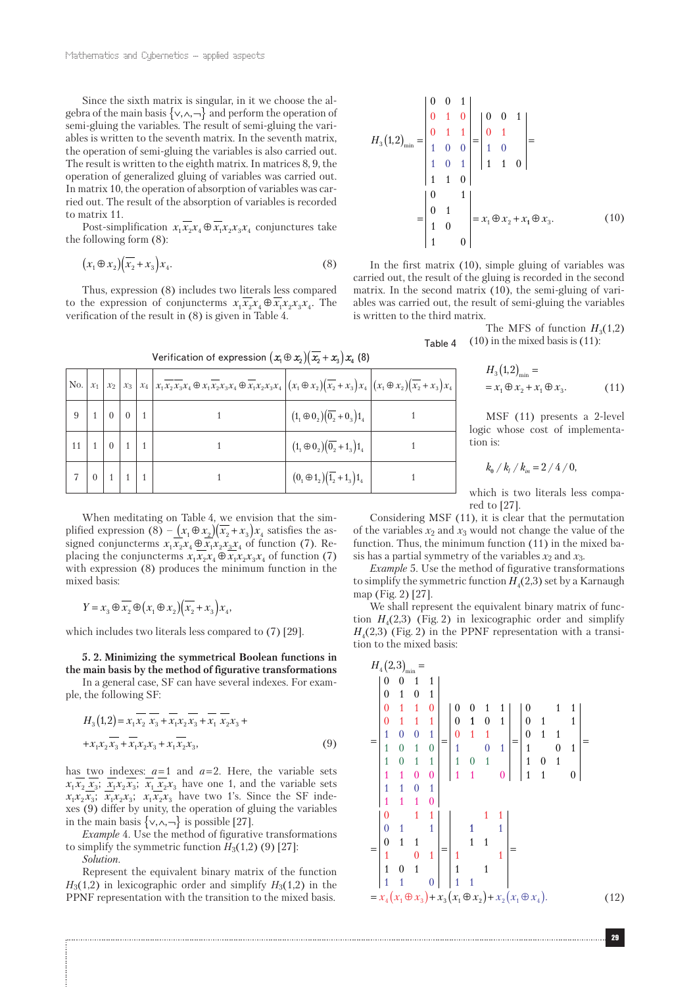Since the sixth matrix is singular, in it we choose the algebra of the main basis  $\{ \vee, \wedge, \neg \}$  and perform the operation of semi-gluing the variables. The result of semi-gluing the variables is written to the seventh matrix. In the seventh matrix, the operation of semi-gluing the variables is also carried out. The result is written to the eighth matrix. In matrices 8, 9, the operation of generalized gluing of variables was carried out. In matrix 10, the operation of absorption of variables was carried out. The result of the absorption of variables is recorded to matrix 11.

Post-simplification  $x_1 \overline{x_2} x_4 \oplus \overline{x_1} x_2 x_3 x_4$  conjunctures take the following form (8):

$$
(x_1 \oplus x_2)(\overline{x_2} + x_3)x_4. \tag{8}
$$

Thus, expression (8) includes two literals less compared to the expression of conjuncterms  $x_1x_2x_4 \oplus x_1x_2x_3x_4$ . The verification of the result in (8) is given in Table 4.

| T<br>Verification of expression $(x_1 \oplus x_2)(\overline{x_2} + x_3)x_4$ (8) |                                  |  |  |                                                                                                                                                                                                                                           |                                             |  |  |  |  |  |
|---------------------------------------------------------------------------------|----------------------------------|--|--|-------------------------------------------------------------------------------------------------------------------------------------------------------------------------------------------------------------------------------------------|---------------------------------------------|--|--|--|--|--|
|                                                                                 |                                  |  |  | No. $\left x_1\right x_2\right x_3\left x_4\right x_1\overline{x_2x_3}x_4 \oplus x_1\overline{x_2}x_3x_4 \oplus \overline{x_1}x_2x_3x_4\left (x_1 \oplus x_2)(\overline{x_2}+x_3)x_4\left (x_1 \oplus x_2)(\overline{x_2}+x_3)x_4\right $ |                                             |  |  |  |  |  |
|                                                                                 | $9 \mid 1 \mid 0 \mid 0 \mid 1$  |  |  |                                                                                                                                                                                                                                           | $(1_1 \oplus 0_2)(\overline{0_2} + 0_3)1_4$ |  |  |  |  |  |
|                                                                                 | $11 \mid 1 \mid 0 \mid 1 \mid 1$ |  |  |                                                                                                                                                                                                                                           | $(1_1 \oplus 0_2)(\overline{0_2} + 1_3)1_4$ |  |  |  |  |  |
|                                                                                 | $7 \mid 0 \mid 1 \mid 1 \mid 1$  |  |  |                                                                                                                                                                                                                                           | $(0, \oplus 1, 2)(\overline{1,2} + 1, 1)1$  |  |  |  |  |  |

$$
H_3(1,2)_{\min} = \begin{vmatrix} 0 & 0 & 1 \\ 0 & 1 & 0 \\ 0 & 1 & 1 \\ 1 & 0 & 0 \\ 1 & 0 & 1 \\ 1 & 1 & 0 \end{vmatrix} = \begin{vmatrix} 0 & 0 & 1 \\ 0 & 1 \\ 1 & 0 \\ 1 & 1 & 0 \end{vmatrix} = \begin{vmatrix} 0 & 0 & 1 \\ 0 & 1 \\ 1 & 1 & 0 \end{vmatrix} = x_1 \oplus x_2 + x_1 \oplus x_3.
$$
 (10)

In the first matrix (10), simple gluing of variables was carried out, the result of the gluing is recorded in the second matrix. In the second matrix (10), the semi-gluing of variables was carried out, the result of semi-gluing the variables is written to the third matrix.

> The MFS of function  $H_3(1,2)$ *x x x x* = ⊕ + ⊕ (10) in the mixed basis is (11): Table 4

$$
H_3(1,2)_{\min} == x_1 \oplus x_2 + x_1 \oplus x_3.
$$
 (11)

MSF (11) presents a 2-level logic whose cost of implementation is:

$$
k_{\rm e}\bigm /k_{\rm i}\bigm /k_{\rm in}=2\bigm /4\bigm /0,
$$

which is two literals less compared to [27].

When meditating on Table 4, we envision that the simplified expression (8) –  $(x_1 \oplus x_2)(\overline{x_2} + x_3)x_4$  satisfies the assigned conjuncterms  $x_1 \overrightarrow{x_2} x_4 \oplus \overrightarrow{x_1 x_2} x_3 x_4$  of function (7). Replacing the conjuncterms  $x_1 x_2 x_4 \oplus x_1 x_2 x_3 x_4$  of function (7) with expression (8) produces the minimum function in the mixed basis:

$$
Y = x_3 \oplus \overline{x_2} \oplus (x_1 \oplus x_2)(\overline{x_2} + x_3)x_4,
$$

which includes two literals less compared to (7) [29].

**5. 2. Minimizing the symmetrical Boolean functions in the main basis by the method of figurative transformations**

In a general case, SF can have several indexes. For example, the following SF:

$$
H_3(1,2) = x_1 \overline{x_2} \overline{x_3} + \overline{x_1 x_2} \overline{x_3} + \overline{x_1} \overline{x_2 x_3} + + x_1 x_2 \overline{x_3} + \overline{x_1} x_2 x_3 + x_1 \overline{x_2} x_3,
$$
 (9)

has two indexes: *a* = 1 and *a* = 2. Here, the variable sets  $x_1 x_2 x_3$ ;  $x_1 x_2 x_3$ ;  $x_1 x_2 x_3$  have one 1, and the variable sets  $x_1x_2x_3$ ;  $x_1x_2x_3$ ;  $x_1x_2x_3$  have two 1's. Since the SF indexes (9) differ by unity, the operation of gluing the variables in the main basis  $\{ \vee, \wedge, \neg \}$  is possible [27].

*Example* 4. Use the method of figurative transformations to simplify the symmetric function  $H_3(1,2)$  (9) [27]:

*Solution*.

Represent the equivalent binary matrix of the function  $H_3(1,2)$  in lexicographic order and simplify  $H_3(1,2)$  in the PPNF representation with the transition to the mixed basis.

Considering MSF (11), it is clear that the permutation of the variables *x*2 and *x*3 would not change the value of the function. Thus, the minimum function (11) in the mixed basis has a partial symmetry of the variables  $x_2$  and  $x_3$ .

*Example* 5. Use the method of figurative transformations to simplify the symmetric function  $H_4(2,3)$  set by a Karnaugh map (Fig. 2) [27].

We shall represent the equivalent binary matrix of function  $H_4(2,3)$  (Fig. 2) in lexicographic order and simplify  $H<sub>4</sub>(2,3)$  (Fig. 2) in the PPNF representation with a transition to the mixed basis:

|     | $H_4(2,3)$                                                           |                  |                  |                  |     |                  |                  |                  |                |     |                  |                  |                                      |                |      |
|-----|----------------------------------------------------------------------|------------------|------------------|------------------|-----|------------------|------------------|------------------|----------------|-----|------------------|------------------|--------------------------------------|----------------|------|
|     | 0                                                                    | $\boldsymbol{0}$ | 1                | 1                |     |                  |                  |                  |                |     |                  |                  |                                      |                |      |
|     | $\mathbf{0}$                                                         | $\mathbf{1}$     | $\overline{0}$   | $\mathbf{1}$     |     |                  |                  |                  |                |     |                  |                  |                                      |                |      |
|     | $\bf{0}$                                                             | $\vert 1 \vert$  | $\overline{1}$   | $\overline{0}$   |     | $\boldsymbol{0}$ | $\boldsymbol{0}$ | 1                | 1              |     | 0                |                  | 1                                    | 1              |      |
|     | $\boldsymbol{0}$                                                     | $1 \quad 1$      |                  | $\mathbf{1}$     |     | $\boldsymbol{0}$ | $\mathbf{1}$     | $\boldsymbol{0}$ | $\mathbf{1}$   |     | $\boldsymbol{0}$ | $\mathbf{1}$     |                                      | 1              |      |
| $=$ | $\,1\,$                                                              | $\boldsymbol{0}$ | $\boldsymbol{0}$ | $\mathbf{1}$     |     | $\mathbf{0}$     | $\mathbf{1}$     | $\vert 1 \vert$  |                |     | $\boldsymbol{0}$ | $\mathbf{1}$     | $\begin{matrix} 1 \\ 0 \end{matrix}$ |                | $=$  |
|     | $\overline{1}$                                                       | $\bf{0}$         | $\overline{1}$   | $\boldsymbol{0}$ | $=$ | $\mathbf{1}$     |                  | $\overline{0}$   | $\mathbf{1}$   | $=$ | $\mathbf{1}$     |                  |                                      | $\mathbf{1}$   |      |
|     | $\mathbf{1}$                                                         | $\boldsymbol{0}$ | $\vert$ 1        | $\mathbf{1}$     |     | $\mathbf{1}$     | $\bf{0}$         | $\mathbf{1}$     |                |     | $\mathbf{1}$     | $\boldsymbol{0}$ | $\mathbf{1}$                         |                |      |
|     | $\overline{1}$                                                       | $\mathbf{1}$     | $\boldsymbol{0}$ | $\boldsymbol{0}$ |     | $\mathbf{1}$     | $\mathbf{1}$     |                  | $\overline{0}$ |     | $\mathbf{1}$     | $\mathbf{1}$     |                                      | $\overline{0}$ |      |
|     | $\mathbf{1}$                                                         | $\mathbf{1}$     | $\overline{0}$   | $\mathbf{1}$     |     |                  |                  |                  |                |     |                  |                  |                                      |                |      |
|     | $\overline{1}$                                                       | $\mathbf{1}$     | $\mathbf{1}$     | $\mathbf{0}$     |     |                  |                  |                  |                |     |                  |                  |                                      |                |      |
|     | $\bf{0}$                                                             |                  | $\mathbf{1}$     | 1                |     |                  |                  |                  | 1              |     |                  |                  |                                      |                |      |
|     | $\boldsymbol{0}$                                                     | $\mathbf{1}$     |                  | $\overline{1}$   |     |                  |                  |                  | 1              |     |                  |                  |                                      |                |      |
| $=$ | $\theta$                                                             | $\mathbf{1}$     | $\overline{1}$   |                  | $=$ |                  | $\mathbf{1}$     | $\overline{1}$   |                |     |                  |                  |                                      |                |      |
|     | 1                                                                    |                  | $\overline{0}$   | $\overline{1}$   |     | $\mathbf{1}$     |                  |                  | 1              |     |                  |                  |                                      |                |      |
|     | $\mathbf{1}$                                                         | $\mathbf{0}$     | $\mathbf{1}$     |                  |     | $\mathbf{1}$     |                  | $\mathbf{1}$     |                |     |                  |                  |                                      |                |      |
|     | $\mathbf{1}$                                                         | 1                |                  | $\boldsymbol{0}$ |     | $\mathbf{1}$     | 1                |                  |                |     |                  |                  |                                      |                |      |
|     | $= x_4(x_1 \oplus x_3) + x_3(x_1 \oplus x_2) + x_2(x_1 \oplus x_4).$ |                  |                  |                  |     |                  |                  |                  |                |     |                  |                  |                                      |                | (12) |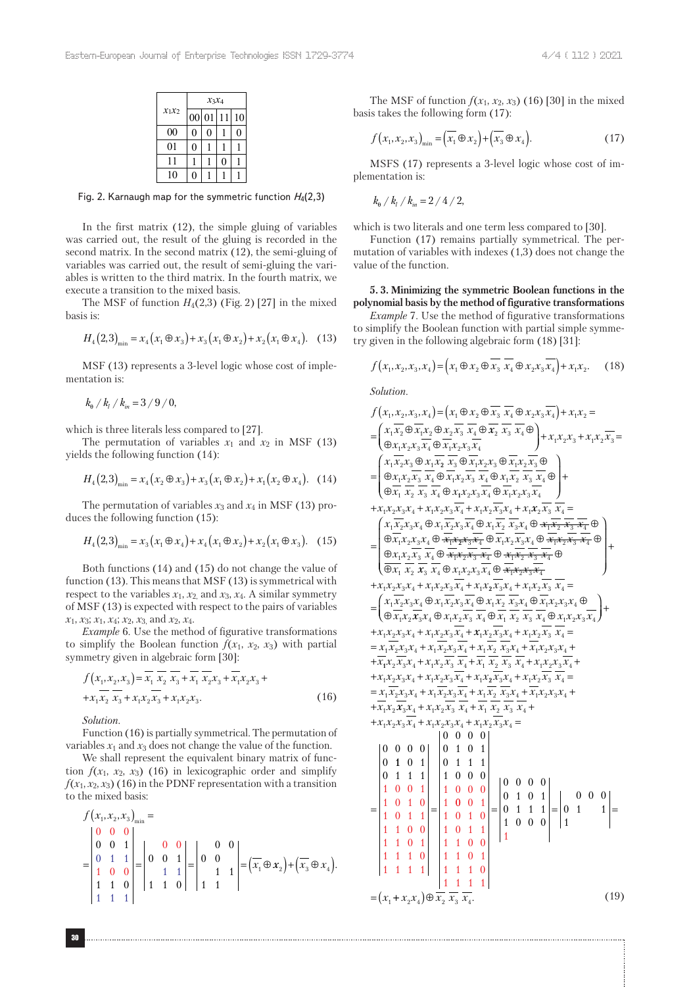|          | $x_3x_4$ |   |    |    |  |  |  |  |  |
|----------|----------|---|----|----|--|--|--|--|--|
| $x_1x_2$ | 00 01    |   | 11 | 10 |  |  |  |  |  |
| 00       | 0        | 0 |    | U  |  |  |  |  |  |
| 01       | 0        |   |    |    |  |  |  |  |  |
| 11       |          |   | 0  |    |  |  |  |  |  |
| 10       | 0        |   |    |    |  |  |  |  |  |

Fig. 2. Karnaugh map for the symmetric function *H*4(2,3)

In the first matrix (12), the simple gluing of variables was carried out, the result of the gluing is recorded in the second matrix. In the second matrix (12), the semi-gluing of variables was carried out, the result of semi-gluing the variables is written to the third matrix. In the fourth matrix, we execute a transition to the mixed basis.

The MSF of function  $H_4(2,3)$  (Fig. 2) [27] in the mixed basis is:

$$
H_4(2,3)_{\min} = x_4(x_1 \oplus x_3) + x_3(x_1 \oplus x_2) + x_2(x_1 \oplus x_4). \quad (13)
$$

MSF (13) represents a 3-level logic whose cost of implementation is:

 $k_{\rm a}$  /  $k_{\rm i}$  /  $k_{\rm in}$  = 3 / 9 / 0,

which is three literals less compared to [27].

The permutation of variables  $x_1$  and  $x_2$  in MSF (13) yields the following function (14):

$$
H_4(2,3)_{\min} = x_4(x_2 \oplus x_3) + x_3(x_1 \oplus x_2) + x_1(x_2 \oplus x_4). \quad (14)
$$

The permutation of variables  $x_3$  and  $x_4$  in MSF (13) produces the following function (15):

$$
H_4(2,3)_{\min} = x_3(x_1 \oplus x_4) + x_4(x_1 \oplus x_2) + x_2(x_1 \oplus x_3). \quad (15)
$$

Both functions (14) and (15) do not change the value of function (13). This means that MSF (13) is symmetrical with respect to the variables  $x_1$ ,  $x_2$  and  $x_3$ ,  $x_4$ . A similar symmetry of MSF (13) is expected with respect to the pairs of variables *x*1, *x*3; *x*1, *x*4; *x*2, *x*3, and *x*2, *x*4.

*Example* 6. Use the method of figurative transformations to simplify the Boolean function  $f(x_1, x_2, x_3)$  with partial symmetry given in algebraic form [30]:

$$
f(x_1, x_2, x_3) = \overline{x_1} \overline{x_2} \overline{x_3} + \overline{x_1} \overline{x_2} x_3 + \overline{x_1} x_2 x_3 + + x_1 \overline{x_2} \overline{x_3} + x_1 x_2 \overline{x_3} + x_1 x_2 x_3.
$$
 (16)

*Solution*.

Function (16) is partially symmetrical. The permutation of variables  $x_1$  and  $x_3$  does not change the value of the function.

We shall represent the equivalent binary matrix of function  $f(x_1, x_2, x_3)$  (16) in lexicographic order and simplify  $f(x_1, x_2, x_3)$  (16) in the PDNF representation with a transition to the mixed basis:

$$
f(x_1, x_2, x_3)_{\min} = \begin{vmatrix} 0 & 0 & 0 \\ 0 & 0 & 1 \\ 0 & 1 & 1 \\ 1 & 0 & 0 \\ 1 & 1 & 1 \end{vmatrix} = \begin{vmatrix} 0 & 0 & 0 \\ 0 & 0 & 1 \\ 1 & 1 & 0 \end{vmatrix} = \begin{vmatrix} 0 & 0 & 0 \\ 0 & 0 & 1 \\ 1 & 1 & 1 \end{vmatrix} = \left(\overline{x_1} \oplus x_2\right) + \left(\overline{x_3} \oplus x_4\right).
$$

The MSF of function  $f(x_1, x_2, x_3)$  (16) [30] in the mixed basis takes the following form (17):

$$
f\left(x_1, x_2, x_3\right)_{\min} = \left(\overline{x_1} \oplus x_2\right) + \left(\overline{x_3} \oplus x_4\right). \tag{17}
$$

MSFS (17) represents a 3-level logic whose cost of implementation is:

$$
k_{\rm e} / k_{\rm i} / k_{\rm in} = 2 / 4 / 2,
$$

which is two literals and one term less compared to [30].

Function (17) remains partially symmetrical. The permutation of variables with indexes (1,3) does not change the value of the function.

## **5. 3. Minimizing the symmetric Boolean functions in the polynomial basis by the method of figurative transformations**

*Example* 7. Use the method of figurative transformations to simplify the Boolean function with partial simple symmetry given in the following algebraic form (18) [31]:

$$
f(x_1, x_2, x_3, x_4) = (x_1 \oplus x_2 \oplus \overline{x_3} \overline{x_4} \oplus x_2 x_3 \overline{x_4}) + x_1 x_2. \quad (18)
$$

*Solution*.

$$
f(x_1, x_2, x_3, x_4) = (x_1 \oplus x_2 \oplus x_3 \overline{x_4} \oplus x_2 \overline{x_3} \overline{x_4} \oplus x_2 x_3 \overline{x_4}) + x_1x_2 =
$$
\n
$$
= \begin{pmatrix} x_1.\overline{x_2} \oplus \overline{x_1}.\overline{x_2} \oplus \overline{x_2}.\overline{x_3} \end{pmatrix} \begin{pmatrix} x_1.\overline{x_2} \oplus \overline{x_3}.\overline{x_4} \oplus \overline{x_2}.\overline{x_3} \end{pmatrix} \begin{pmatrix} x_1.\overline{x_2} \oplus \overline{x_3}.\overline{x_4} \oplus \overline{x_1}.\overline{x_2} \end{pmatrix} + x_1x_2x_3 + x_1x_2\overline{x_3} =
$$
\n
$$
= \begin{pmatrix} x_1.\overline{x_2}x_3 \oplus x_1.\overline{x_2}.\overline{x_3} \oplus \overline{x_1}.\overline{x_2}.\overline{x_3} \end{pmatrix} \begin{pmatrix} x_1.\overline{x_2}.\overline{x_3} \oplus \overline{x_1}.\overline{x_2}.\overline{x_3} \end{pmatrix} \begin{pmatrix} x_1.\overline{x_2}.\overline{x_3} \end{pmatrix} + x_1x_2x_3 + x_1x_2\overline{x_3}.\overline{x_4} \end{pmatrix} + x_1x_2x_3\overline{x_4} \oplus x_1x_2x_3.\overline{x_4} \oplus x_1.\overline{x_2}.\overline{x_3}.\overline{x_4} \end{pmatrix} + x_1x_2\overline{x_3}.\overline{x_4} \oplus x_1.\overline{x_2}.\overline{x_3}.\overline{x_4} \oplus x_1.\overline{x_2}.\overline{x_3}.\overline{x_4} \end{pmatrix} + x_1x_2\overline{x_3}.\overline{x_4} \oplus x_1.\overline{x_2}.\overline{x_3}.\overline{x_4} \oplus x_1.\overline{x_2}.\overline{x_3}.\overline{x_4} \end{pmatrix} + x_1x_2\overline{x_3}.\overline{x_4} \oplus x_1.\overline{x_2}.\overline{x_3
$$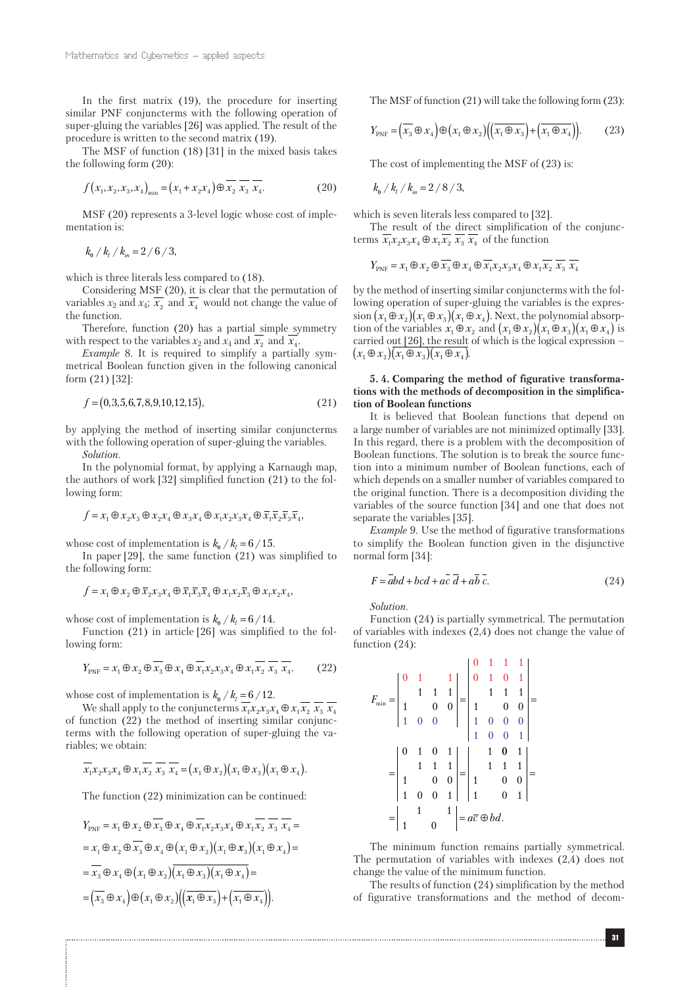In the first matrix (19), the procedure for inserting similar PNF conjuncterms with the following operation of super-gluing the variables [26] was applied. The result of the procedure is written to the second matrix (19).

The MSF of function (18) [31] in the mixed basis takes the following form (20):

$$
f(x_1, x_2, x_3, x_4)_{\min} = (x_1 + x_2 x_4) \oplus \overline{x_2} \overline{x_3} \overline{x_4}.
$$
 (20)

MSF (20) represents a 3-level logic whose cost of implementation is:

 $k_{\rm e}$  /  $k_{\rm i}$  /  $k_{\rm in}$  = 2 / 6 / 3,

which is three literals less compared to (18).

Considering MSF (20), it is clear that the permutation of variables  $x_2$  and  $x_4$ ;  $\overline{x_2}$  and  $\overline{x_4}$  would not change the value of the function.

Therefore, function (20) has a partial simple symmetry with respect to the variables  $x_2$  and  $x_4$  and  $\overline{x_2}$  and  $\overline{x_4}$ .

*Example* 8*.* It is required to simplify a partially symmetrical Boolean function given in the following canonical form (21) [32]:

$$
f = (0, 3, 5, 6, 7, 8, 9, 10, 12, 15),\tag{21}
$$

by applying the method of inserting similar conjuncterms with the following operation of super-gluing the variables.

*Solution*.

In the polynomial format, by applying a Karnaugh map, the authors of work [32] simplified function (21) to the following form:

$$
f = x_1 \oplus x_2 x_3 \oplus x_2 x_4 \oplus x_3 x_4 \oplus x_1 x_2 x_3 x_4 \oplus \overline{x_1} \overline{x_2} \overline{x_3} \overline{x_4},
$$

whose cost of implementation is  $k_{\theta}$  /  $k_{l}$  = 6/15.

In paper [29], the same function (21) was simplified to the following form:

$$
f = x_1 \oplus x_2 \oplus \overline{x}_2 x_3 x_4 \oplus \overline{x}_1 \overline{x}_3 \overline{x}_4 \oplus x_1 x_2 \overline{x}_3 \oplus x_1 x_2 x_4,
$$

whose cost of implementation is  $k_{\theta}$  /  $k_{l}$  = 6/14.

Function (21) in article [26] was simplified to the following form:

$$
Y_{\text{PNF}} = x_1 \oplus x_2 \oplus \overline{x_3} \oplus x_4 \oplus \overline{x_1 x_2 x_3 x_4} \oplus x_1 \overline{x_2} \overline{x_3} \overline{x_4}.
$$
 (22)

whose cost of implementation is  $k_{\text{e}} / k_{\text{l}} = 6 / 12$ .

We shall apply to the conjuncterms  $\overline{x_1 x_2 x_3 x_4 \oplus x_1 x_2} \overline{x_3} \overline{x_4}$ of function (22) the method of inserting similar conjuncterms with the following operation of super-gluing the variables; we obtain:

$$
\overline{x_1x_2x_3x_4} \oplus x_1\overline{x_2} \overline{x_3} \overline{x_4} = (x_1 \oplus x_2)(x_1 \oplus x_3)(x_1 \oplus x_4).
$$

The function (22) minimization can be continued:

$$
Y_{\text{PNF}} = x_1 \oplus x_2 \oplus \overline{x_3} \oplus x_4 \oplus \overline{x_1 x_2 x_3 x_4} \oplus x_1 \overline{x_2} \overline{x_3} \overline{x_4} =
$$
  
\n
$$
= x_1 \oplus x_2 \oplus \overline{x_3} \oplus x_4 \oplus (x_1 \oplus x_2)(x_1 \oplus x_3)(x_1 \oplus x_4) =
$$
  
\n
$$
= \overline{x_3} \oplus x_4 \oplus (x_1 \oplus x_2) \overline{(x_1 \oplus x_3)(x_1 \oplus x_4)} =
$$
  
\n
$$
= (\overline{x_3} \oplus x_4) \oplus (x_1 \oplus x_2) \Big( \overline{x_1 \oplus x_3} \Big) + \overline{(x_1 \oplus x_4)} \Big).
$$

The MSF of function (21) will take the following form (23):

$$
Y_{\text{PNF}} = \left(\overline{x_3} \oplus x_4\right) \oplus \left(x_1 \oplus x_2\right) \left(\left(\overline{x_1 \oplus x_3}\right) + \left(\overline{x_1 \oplus x_4}\right)\right). \tag{23}
$$

The cost of implementing the MSF of (23) is:

 $k_{\rm e}$  /  $k_{\rm i}$  /  $k_{\rm in}$  = 2 / 8 / 3,

which is seven literals less compared to [32].

The result of the direct simplification of the conjuncterms  $\overline{x_1x_2x_3x_4 \oplus x_1x_2} \overline{x_3} \overline{x_4}$  of the function

$$
Y_{\text{PNF}} = x_1 \oplus x_2 \oplus \overline{x_3} \oplus x_4 \oplus \overline{x_1} x_2 x_3 x_4 \oplus x_1 \overline{x_2} \overline{x_3} \overline{x_4}
$$

by the method of inserting similar conjuncterms with the following operation of super-gluing the variables is the expression  $(x_1 \oplus x_2)(x_1 \oplus x_3)(x_1 \oplus x_4)$ . Next, the polynomial absorption of the variables  $x_1 \oplus x_2$  and  $(x_1 \oplus x_2)(x_1 \oplus x_3)(x_1 \oplus x_4)$  is carried out [26], the result of which is the logical expression –  $(x_1 \oplus x_2)(x_1 \oplus x_3)(x_1 \oplus x_4)$ 

# **5. 4. Comparing the method of figurative transformations with the methods of decomposition in the simplification of Boolean functions**

It is believed that Boolean functions that depend on a large number of variables are not minimized optimally [33]. In this regard, there is a problem with the decomposition of Boolean functions. The solution is to break the source function into a minimum number of Boolean functions, each of which depends on a smaller number of variables compared to the original function. There is a decomposition dividing the variables of the source function [34] and one that does not separate the variables [35].

*Example* 9. Use the method of figurative transformations to simplify the Boolean function given in the disjunctive normal form [34]:

$$
F = abd + bcd + ac\ d + ab\ c.
$$
 (24)

*Solution*.

Function (24) is partially symmetrical. The permutation of variables with indexes (2,4) does not change the value of function (24):

$$
F_{\min} = \begin{vmatrix} 0 & 1 & 1 \\ 1 & 1 & 1 \\ 1 & 0 & 0 \\ 1 & 0 & 0 \end{vmatrix} = \begin{vmatrix} 0 & 1 & 1 & 1 \\ 0 & 1 & 0 & 1 \\ 1 & 1 & 1 & 1 \\ 1 & 0 & 0 & 0 \\ 1 & 0 & 0 & 1 \\ 1 & 0 & 0 & 1 \end{vmatrix} = \begin{vmatrix} 0 & 1 & 1 & 1 \\ 1 & 1 & 1 & 1 \\ 1 & 0 & 0 & 0 \\ 1 & 0 & 0 & 1 \\ 1 & 0 & 1 & 1 \end{vmatrix} = \begin{vmatrix} 0 & 1 & 0 & 1 \\ 1 & 1 & 1 & 1 \\ 1 & 0 & 0 & 1 \\ 1 & 0 & 0 & 1 \end{vmatrix} = \begin{vmatrix} 1 & 1 & 1 & 1 \\ 1 & 1 & 1 & 1 \\ 1 & 0 & 0 & 1 \\ 1 & 0 & 1 & 1 \end{vmatrix} = \begin{vmatrix} 1 & 1 & 1 & 1 \\ 1 & 1 & 1 & 1 \\ 1 & 0 & 0 & 1 \\ 1 & 0 & 1 & 1 \end{vmatrix} = a\overline{c} \oplus bd.
$$

The minimum function remains partially symmetrical. The permutation of variables with indexes (2,4) does not change the value of the minimum function.

The results of function (24) simplification by the method of figurative transformations and the method of decom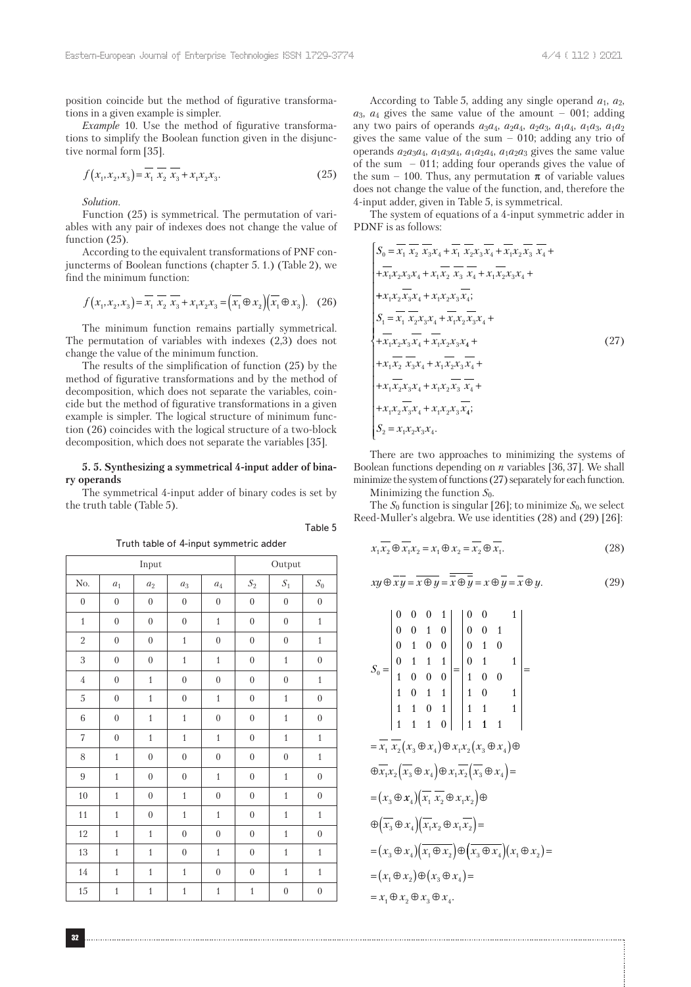position coincide but the method of figurative transformations in a given example is simpler.

*Example* 10. Use the method of figurative transformations to simplify the Boolean function given in the disjunctive normal form [35].

$$
f(x_1, x_2, x_3) = \overline{x_1} \ \overline{x_2} \ \overline{x_3} + x_1 x_2 x_3. \tag{25}
$$

*Solution*.

Function (25) is symmetrical. The permutation of variables with any pair of indexes does not change the value of function  $(25)$ .

According to the equivalent transformations of PNF conjuncterms of Boolean functions (chapter 5. 1.) (Table 2), we find the minimum function:

$$
f(x_1, x_2, x_3) = \overline{x_1} \overline{x_2} \overline{x_3} + x_1 x_2 x_3 = (\overline{x_1} \oplus x_2)(\overline{x_1} \oplus x_3). \quad (26)
$$

The minimum function remains partially symmetrical. The permutation of variables with indexes (2,3) does not change the value of the minimum function.

The results of the simplification of function (25) by the method of figurative transformations and by the method of decomposition, which does not separate the variables, coincide but the method of figurative transformations in a given example is simpler. The logical structure of minimum function (26) coincides with the logical structure of a two-block decomposition, which does not separate the variables [35].

#### **5. 5. Synthesizing a symmetrical 4-input adder of binary operands**

The symmetrical 4-input adder of binary codes is set by the truth table (Table 5).

|                  |                  | Input            |                  |                  |                  | Output           |                  |
|------------------|------------------|------------------|------------------|------------------|------------------|------------------|------------------|
| No.              | $a_1$            | $a_2$            | $a_3$            | $a_4$            | $\mathcal{S}_2$  | $\mathcal{S}_1$  | ${\cal S}_0$     |
| $\boldsymbol{0}$ | $\boldsymbol{0}$ | $\boldsymbol{0}$ | $\boldsymbol{0}$ | $\boldsymbol{0}$ | $\boldsymbol{0}$ | $\boldsymbol{0}$ | $\boldsymbol{0}$ |
| $\mathbf{1}$     | $\boldsymbol{0}$ | $\boldsymbol{0}$ | $\boldsymbol{0}$ | $\mathbf{1}$     | $\boldsymbol{0}$ | $\boldsymbol{0}$ | $\,1\,$          |
| $\sqrt{2}$       | $\boldsymbol{0}$ | $\boldsymbol{0}$ | $\mathbf{1}$     | $\boldsymbol{0}$ | $\boldsymbol{0}$ | $\boldsymbol{0}$ | $\mathbf{1}$     |
| 3                | $\boldsymbol{0}$ | $\boldsymbol{0}$ | $\mathbf{1}$     | $\mathbf{1}$     | $\boldsymbol{0}$ | $\mathbf{1}$     | $\boldsymbol{0}$ |
| $\overline{4}$   | $\boldsymbol{0}$ | $\mathbf{1}$     | $\overline{0}$   | $\boldsymbol{0}$ | $\boldsymbol{0}$ | $\mathbf{0}$     | $\mathbf{1}$     |
| $\sqrt{5}$       | $\boldsymbol{0}$ | $\mathbf{1}$     | $\overline{0}$   | $\mathbf{1}$     | $\boldsymbol{0}$ | $\mathbf{1}$     | $\boldsymbol{0}$ |
| 6                | $\boldsymbol{0}$ | $\mathbf{1}$     | $\mathbf{1}$     | $\boldsymbol{0}$ | $\boldsymbol{0}$ | $\mathbf{1}$     | $\boldsymbol{0}$ |
| $\sqrt{ }$       | $\overline{0}$   | $\overline{1}$   | $\overline{1}$   | $\overline{1}$   | $\boldsymbol{0}$ | $\overline{1}$   | $\overline{1}$   |
| 8                | $\overline{1}$   | $\boldsymbol{0}$ | $\boldsymbol{0}$ | $\boldsymbol{0}$ | $\boldsymbol{0}$ | $\boldsymbol{0}$ | $\,1\,$          |
| $\boldsymbol{9}$ | $\,1\,$          | $\boldsymbol{0}$ | $\overline{0}$   | $\mathbf{1}$     | $\boldsymbol{0}$ | $\mathbf{1}$     | $\boldsymbol{0}$ |
| $10\,$           | $\overline{1}$   | $\boldsymbol{0}$ | $\,1\,$          | $\boldsymbol{0}$ | $\boldsymbol{0}$ | $\,1$            | $\boldsymbol{0}$ |
| 11               | $\mathbf{1}$     | $\boldsymbol{0}$ | $\mathbf{1}$     | $\mathbf{1}$     | $\boldsymbol{0}$ | $\mathbf{1}$     | $\mathbf{1}$     |
| 12               | $\,1\,$          | $\,1\,$          | $\boldsymbol{0}$ | $\overline{0}$   | $\boldsymbol{0}$ | $\,1$            | $\boldsymbol{0}$ |
| 13               | $\mathbf{1}$     | $\mathbf{1}$     | $\overline{0}$   | $\overline{1}$   | $\boldsymbol{0}$ | $\mathbf{1}$     | $\mathbf{1}$     |
| 14               | $\mathbf{1}$     | $\mathbf{1}$     | $\mathbf{1}$     | $\boldsymbol{0}$ | $\boldsymbol{0}$ | $\mathbf{1}$     | $\,1\,$          |
| 15               | $\mathbf{1}$     | $\mathbf{1}$     | $\mathbf{1}$     | $\mathbf{1}$     | $\mathbf{1}$     | $\boldsymbol{0}$ | $\boldsymbol{0}$ |

Truth table of 4-input symmetric adder

Table 5

According to Table 5, adding any single operand  $a_1$ ,  $a_2$ , *a*3, *a*4 gives the same value of the amount – 001; adding any two pairs of operands  $a_3a_4$ ,  $a_2a_4$ ,  $a_2a_3$ ,  $a_1a_4$ ,  $a_1a_3$ ,  $a_1a_2$ gives the same value of the sum – 010; adding any trio of operands  $a_2a_3a_4$ ,  $a_1a_3a_4$ ,  $a_1a_2a_4$ ,  $a_1a_2a_3$  gives the same value of the sum – 011; adding four operands gives the value of the sum – 100. Thus, any permutation  $\pi$  of variable values does not change the value of the function, and, therefore the 4-input adder, given in Table 5, is symmetrical.

The system of equations of a 4-input symmetric adder in PDNF is as follows:

$$
\begin{aligned}\nS_0 &= \overline{x_1} \, \overline{x_2} \, \overline{x_3} x_4 + \overline{x_1} \, \overline{x_2} x_3 \overline{x_4} + \overline{x_1} x_2 \overline{x_3} \, \overline{x_4} + \\
&+ \overline{x_1} x_2 x_3 x_4 + x_1 \overline{x_2} \, \overline{x_3} \, \overline{x_4} + x_1 \overline{x_2} x_3 x_4 + \\
&+ x_1 x_2 \overline{x_3} x_4 + x_1 x_2 x_3 \overline{x_4}; \\
S_1 &= \overline{x_1} \, \overline{x_2} x_3 x_4 + \overline{x_1} x_2 \overline{x_3} x_4 + \\
&+ \overline{x_1} x_2 x_3 \overline{x_4} + \overline{x_1} x_2 x_3 x_4 + \\
&+ \overline{x_1} x_2 \overline{x_3} x_4 + x_1 \overline{x_2} x_3 \overline{x_4} + \\
&+ x_1 \overline{x_2} x_3 x_4 + x_1 \overline{x_2} x_3 \overline{x_4} + \\
&+ x_1 \overline{x_2} x_3 x_4 + x_1 x_2 \overline{x_3} \, \overline{x_4}; \\
S_2 &= x_1 x_2 x_3 x_4.\n\end{aligned}\n\tag{27}
$$

There are two approaches to minimizing the systems of Boolean functions depending on *n* variables [36, 37]. We shall minimize the system of functions (27) separately for each function.

Minimizing the function  $S_0$ .

The  $S_0$  function is singular [26]; to minimize  $S_0$ , we select Reed-Muller's algebra. We use identities (28) and (29) [26]:

$$
x_1 \overline{x_2} \oplus \overline{x_1} x_2 = x_1 \oplus x_2 = \overline{x_2} \oplus \overline{x_1}.
$$
 (28)

$$
xy \oplus \overline{xy} = \overline{x \oplus y} = \overline{\overline{x} \oplus y} = x \oplus \overline{y} = \overline{x} \oplus y.
$$
 (29)

$$
S_0 = \begin{vmatrix} 0 & 0 & 0 & 1 \\ 0 & 0 & 1 & 0 \\ 0 & 1 & 0 & 0 \\ 0 & 1 & 1 & 1 \\ 1 & 0 & 0 & 0 \\ 1 & 1 & 1 & 0 \end{vmatrix} = \begin{vmatrix} 0 & 0 & 1 \\ 0 & 0 & 1 \\ 0 & 1 & 0 \\ 1 & 0 & 0 \\ 1 & 0 & 1 \end{vmatrix} = \begin{vmatrix} 0 & 0 & 1 \\ 0 & 0 & 1 \\ 1 & 0 & 1 \\ 1 & 1 & 0 \\ 1 & 1 & 1 \end{vmatrix} = \frac{1}{\sqrt{1 + \left(\frac{1}{1 + \left(\frac{1}{1 + \left(\frac{1}{1 + \left(\frac{1}{1 + \left(\frac{1}{1 + \left(\frac{1}{1 + \left(\frac{1}{1 + \left(\frac{1}{1 + \left(\frac{1}{1 + \left(\frac{1}{1 + \left(\frac{1}{1 + \left(\frac{1}{1 + \left(\frac{1}{1 + \left(\frac{1}{1 + \left(\frac{1}{1 + \left(\frac{1}{1 + \left(\frac{1}{1 + \left(\frac{1}{1 + \left(\frac{1}{1 + \left(\frac{1}{1 + \left(\frac{1}{1 + \left(\frac{1}{1 + \left(\frac{1}{1 + \left(\frac{1}{1 + \left(\frac{1}{1 + \left(\frac{1}{1 + \left(\frac{1}{1 + \left(\frac{1}{1 + \left(\frac{1}{1 + \left(\frac{1}{1 + \left(\frac{1}{1 + \left(\frac{1}{1 + \left(\frac{1}{1 + \left(\frac{1}{1 + \left(\frac{1}{1 + \left(\frac{1}{1 + \left(\frac{1}{1 + \left(\frac{1}{1 + \left(\frac{1}{1 + \left(\frac{1}{1 + \left(\frac{1}{1 + \left(\frac{1}{1 + \left(\frac{1}{1 + \left(\frac{1}{1 + \left(\frac{1}{1 + \left(\frac{1}{1 + \left(\frac{1}{1 + \left(\frac{1}{1 + \left(\frac{1}{1 + \left(\frac{1}{1 + \left(\frac{1}{1 + \left(\frac{1}{1 + \left(\frac{1}{1 + \left(\frac{1}{1 + \left(\frac{1}{1 + \left(\frac{1}{1 + \left(\frac{1}{1 + \left(\frac{1}{1 + \left(\frac{1}{1 + \left(\frac{1}{1 + \left(\frac{1}{
$$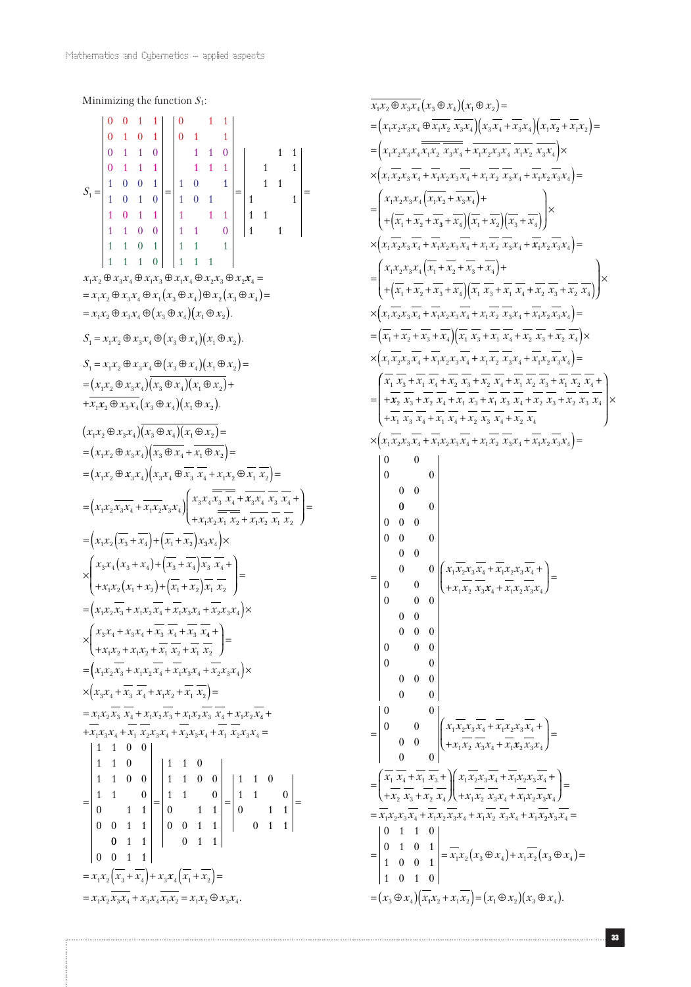Minimizing the function  $S_1$ :  $S<sub>1</sub>$  $0 \t 0 \t 1 \t 1 \t 0$  $\begin{array}{cccc} 0 & 1 & 0 & 1 \\ 0 & 1 & 1 & 0 \end{array}$ 0 1 1  $\begin{array}{|c|c|c|}\n\hline\n0 & 1 & 1\n\end{array}$ 0 1 1 0 1 1 0  $1\quad1\quad0\quad0$ 0 1 1 1 | 1 1 1 1 1 0 1 1 1 0 0 1 1 0 1 0  $=\begin{vmatrix} 1 & 0 & 0 & 1 \\ 1 & 0 & 1 & 0 \end{vmatrix} = \begin{vmatrix} 1 & 0 & 1 \\ 1 & 0 & 1 \end{vmatrix} = \begin{vmatrix} 1 & 1 & 1 \\ 1 & 0 & 1 \end{vmatrix} =$ 1 1 0 1 | 1 1 1 111 0 1 1 1 1 1 1 1 1 0 1 1 1 1 1 1 1 1 1 1  $\vert 1 \vert -1$  $x_1 x_2 \oplus x_3 x_4 \oplus x_1 x_3 \oplus x_1 x_4 \oplus x_2 x_3 \oplus x_2 x_4 =$  $= x_1 x_2 \oplus x_3 x_4 \oplus x_1 (x_3 \oplus x_4) \oplus x_2 (x_3 \oplus x_4) =$  $= x_1 x_2 \oplus x_3 x_4 \oplus (x_3 \oplus x_4)(x_1 \oplus x_2).$  $S_1 = x_1 x_2 \oplus x_3 x_4 \oplus (x_3 \oplus x_4)(x_1 \oplus x_2).$  $S_1 = x_1 x_2 \oplus x_3 x_4 \oplus (x_3 \oplus x_4)(x_1 \oplus x_2) =$  $=(x_1x_2 \oplus x_3x_4)(x_3 \oplus x_4)(x_1 \oplus x_2)+$  $+x_1x_2 \oplus x_3x_4(x_3 \oplus x_4)(x_1 \oplus x_2).$  $(x_1x_2 \oplus x_3x_4)(x_3 \oplus x_4)(x_1 \oplus x_2) =$  $=(x_1x_2 \oplus x_3x_4)(x_3 \oplus x_4 + x_1 \oplus x_2) =$  $=(x_1x_2 \oplus x_3x_4)(x_3x_4 \oplus x_3 x_4 + x_1x_2 \oplus x_1 x_2) =$  $=\left(x_1x_2\overline{x_3x_4}+\overline{x_1x_2}x_3x_4\right)\left(x_3x_4x_3x_4+x_3x_4x_3x_4\right)$  $x_1 x_2 x_1 x_2 + x_1 x_2 x_1$  $=\left(x_1x_2\right)(x_3+x_4\right)+\left(x_1+x_2\right)x_3x_4\right) \times$  $3^{\lambda_4}$   $\lambda_3$   $\lambda_4$  $1^{1/2}$   $2^{1/2}$   $1^{1/2}$   $2^{1/2}$   $2^{1/2}$ +  $+x_1x_2x_1x_2 +$ ſ ∖  $\overline{\phantom{a}}$ Ĵ  $\overline{1}$  $\Bigg) =$  $3^{3}4^{4}3^{4}$   $4^{1}$   $3^{1}$   $4^{2}$   $4^{2}$   $3^{2}$  $1^{\mathcal{A}}2$   $\left(\begin{matrix} \mathcal{A}_1 & \mathcal{A}_2 \end{matrix}\right)$   $\left(\begin{matrix} \mathcal{A}_1 & \mathcal{A}_2 \end{matrix}\right)$   $\mathcal{A}_1$   $\mathcal{A}_2$  $x_3x_4(x_3+x_4)+(x_3+x_4)x_3$  $x_1x_2(x_1+x_2)+(x_1+x_2)x_1$  $\times \begin{cases} x_3x_4(x_3+x_4)+(x_3+x_4)x_3x_4+ \\ \hline \end{cases}$  $+x_1x_2(x_1+x_2)+(x_1+x_2)$ ſ l I I J  $\overline{1}$  $\vert$  $= (x_1 x_2 x_3 + x_1 x_2 x_4 + x_1 x_3 x_4 + x_2 x_3 x_4) \times$  $\times \begin{cases} x_3x_4 + x_3x_4 + x_3x_4 + x_3x_4 \\ - \end{cases}$  $1^{1/2}$  1  $\lambda_1 \lambda_2$  1  $\lambda_1 \lambda_2$  1  $\lambda_1 \lambda_2$  $=(x_1x_2x_3+x_1x_2x_4+x_1x_3x_4+x_2x_3x_4) \times$ +  $+x_1x_2 + x_1x_2 + x_1x_2 +$ ſ l  $\cdot$  $x_1 x_2 + x_1 x_2 + x_1 x_3 + x_1 x_2 + x_1 x_3$  $\times (x_3x_4 + x_3 x_4 + x_1x_2 + x_1 x_2) =$  $= x_1 x_2 x_3 x_4 + x_1 x_2 x_3 + x_1 x_2 x_3 x_4 + x_1 x_2 x_4 +$  $+x_1x_3x_4+x_1x_2x_3x_4+x_2x_3x_4+x_1x_2x_3x_4=$  $1100$ 1 1 0 1100 1 1 0 0 1 1 0011 0011 = 0 1 1  $\begin{vmatrix} 0 & 0 & 1 & 1 \end{vmatrix}$  $\begin{array}{|c|c|c|c|c|c|c|c|} \hline \end{array}$  1 0 1100 1 1 0 0 1 1 0 1 1 1 1 0 1 1 0  $=\begin{vmatrix} 1 & 1 \\ 0 & 1 \end{vmatrix} = \begin{vmatrix} 1 & 1 \\ 0 & 1 \end{vmatrix} = \begin{vmatrix} 1 & 1 \\ 0 & 1 \end{vmatrix} =$ 0 1 1  $= x_1 x_2 (x_3 + x_4) + x_3 x_4 (x_1 + x_2) =$  $= x_1 x_2 x_3 x_4 + x_3 x_4 x_1 x_2 = x_1 x_2 \oplus x_3 x_4.$ 

$$
\frac{x_1x_2 \oplus x_3x_4}{x_1x_2x_3x_4} \left( x_3 \oplus x_4 \right) (x_1 \oplus x_2) =
$$
\n
$$
= (x_1x_2x_3x_4 \oplus \frac{x_1x_2}{x_1x_2} \frac{x_3x_4}{x_3x_4} \Big) (x_3 \overline{x_4} + \overline{x_3x_4} \Big) (x_1 \overline{x_2} + \overline{x_1x_2} \Big) =
$$
\n
$$
= (x_1x_2x_3x_4 \overline{x_1x_2} \overline{x_3x_4} + x_1 \overline{x_2x_3x_4} \overline{x_1x_2} \overline{x_3x_4} + x_1 \overline{x_2x_3x_4} \Big) \times
$$
\n
$$
\times (x_1 \overline{x_2x_3} \overline{x_4} + \overline{x_1x_2x_3} \overline{x_4} + x_1 \overline{x_2} \Big) \frac{x_3}{x_3x_4} + \overline{x_1x_2} \Big) \times
$$
\n
$$
\times (x_1 \overline{x_2x_3} \overline{x_4} + \overline{x_1x_2x_3} \overline{x_4} + x_1 \overline{x_2} \Big) \Big( \overline{x_3} + \overline{x_4} \Big) \Big) \times
$$
\n
$$
\times (x_1 \overline{x_2x_3} \overline{x_4} + \overline{x_1x_2x_3} \overline{x_4} + x_1 \overline{x_2} \Big) \frac{x_3}{x_4} + \overline{x_1x_2} \Big( \overline{x_3} \overline{x_4} \Big) +
$$
\n
$$
= (x_1x_2x_3x_4 \Big( \overline{x_1} + \overline{x_2} + \overline{x_3} + \overline{x_4} \Big) \Big) \left( \overline{x_1} \overline{x_3} + \overline{x_1} \overline{x_4} \overline{x_4} \overline{x_2} \overline{x_3} + \overline{x_4} \overline{x_4} \Big) \right) \times
$$
\n
$$
\times (x_1 \overline{x_2x_3} \overline{x_4} + \overline{x_1x_2x_3} \over
$$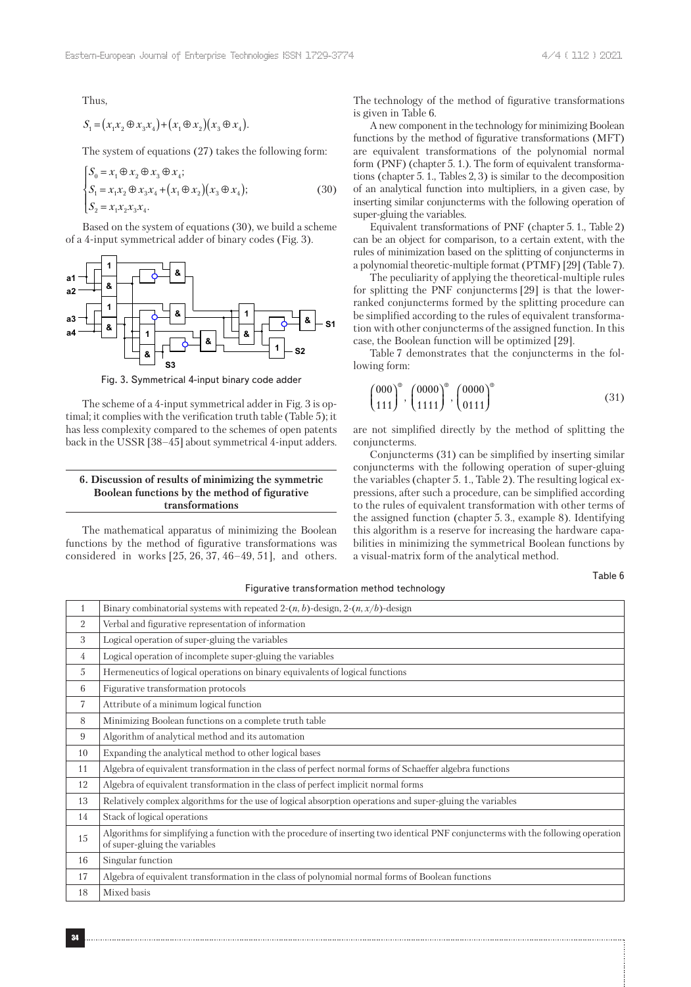Thus,

$$
S_1 = (x_1x_2 \oplus x_3x_4) + (x_1 \oplus x_2)(x_3 \oplus x_4).
$$

The system of equations (27) takes the following form:

$$
\begin{cases}\nS_0 = x_1 \oplus x_2 \oplus x_3 \oplus x_4; \\
S_1 = x_1 x_2 \oplus x_3 x_4 + (x_1 \oplus x_2)(x_3 \oplus x_4); \\
S_2 = x_1 x_2 x_3 x_4.\n\end{cases} (30)
$$

Based on the system of equations (30), we build a scheme of a 4-input symmetrical adder of binary codes (Fig. 3).



Fig. 3. Symmetrical 4-input binary code adder

The scheme of a 4-input symmetrical adder in Fig. 3 is optimal; it complies with the verification truth table (Table 5); it has less complexity compared to the schemes of open patents back in the USSR [38–45] about symmetrical 4-input adders.

## **6. Discussion of results of minimizing the symmetric Boolean functions by the method of figurative transformations**

The mathematical apparatus of minimizing the Boolean functions by the method of figurative transformations was considered in works [25, 26, 37, 46–49, 51], and others. The technology of the method of figurative transformations is given in Table 6.

A new component in the technology for minimizing Boolean functions by the method of figurative transformations (MFT) are equivalent transformations of the polynomial normal form (PNF) (chapter 5. 1.). The form of equivalent transformations (chapter 5. 1., Tables 2, 3) is similar to the decomposition of an analytical function into multipliers, in a given case, by inserting similar conjuncterms with the following operation of super-gluing the variables.

Equivalent transformations of PNF (chapter 5. 1., Table 2) can be an object for comparison, to a certain extent, with the rules of minimization based on the splitting of conjuncterms in a polynomial theoretic-multiple format (PTMF) [29] (Table 7).

The peculiarity of applying the theoretical-multiple rules for splitting the PNF conjuncterms [29] is that the lowerranked conjuncterms formed by the splitting procedure can be simplified according to the rules of equivalent transformation with other conjuncterms of the assigned function. In this case, the Boolean function will be optimized [29].

Table 7 demonstrates that the conjuncterms in the following form:

$$
\binom{000}{111}^{\circ}, \binom{0000}{1111}^{\circ}, \binom{0000}{0111}^{\circ} \tag{31}
$$

are not simplified directly by the method of splitting the conjuncterms.

Conjuncterms (31) can be simplified by inserting similar conjuncterms with the following operation of super-gluing the variables (chapter 5. 1., Table 2). The resulting logical expressions, after such a procedure, can be simplified according to the rules of equivalent transformation with other terms of the assigned function (chapter 5. 3., example 8). Identifying this algorithm is a reserve for increasing the hardware capabilities in minimizing the symmetrical Boolean functions by a visual-matrix form of the analytical method.

Table 6

| $\mathbf{1}$   | Binary combinatorial systems with repeated 2- $(n, b)$ -design, 2- $(n, x/b)$ -design                                                                              |
|----------------|--------------------------------------------------------------------------------------------------------------------------------------------------------------------|
| 2              | Verbal and figurative representation of information                                                                                                                |
| 3              | Logical operation of super-gluing the variables                                                                                                                    |
| 4              | Logical operation of incomplete super-gluing the variables                                                                                                         |
| 5              | Hermeneutics of logical operations on binary equivalents of logical functions                                                                                      |
| 6              | Figurative transformation protocols                                                                                                                                |
| $\overline{7}$ | Attribute of a minimum logical function                                                                                                                            |
| 8              | Minimizing Boolean functions on a complete truth table                                                                                                             |
| 9              | Algorithm of analytical method and its automation                                                                                                                  |
| 10             | Expanding the analytical method to other logical bases                                                                                                             |
| 11             | Algebra of equivalent transformation in the class of perfect normal forms of Schaeffer algebra functions                                                           |
| 12             | Algebra of equivalent transformation in the class of perfect implicit normal forms                                                                                 |
| 13             | Relatively complex algorithms for the use of logical absorption operations and super-gluing the variables                                                          |
| 14             | Stack of logical operations                                                                                                                                        |
| 15             | Algorithms for simplifying a function with the procedure of inserting two identical PNF conjuncterms with the following operation<br>of super-gluing the variables |
| 16             | Singular function                                                                                                                                                  |
| 17             | Algebra of equivalent transformation in the class of polynomial normal forms of Boolean functions                                                                  |
| 18             | Mixed basis                                                                                                                                                        |

#### Figurative transformation method technology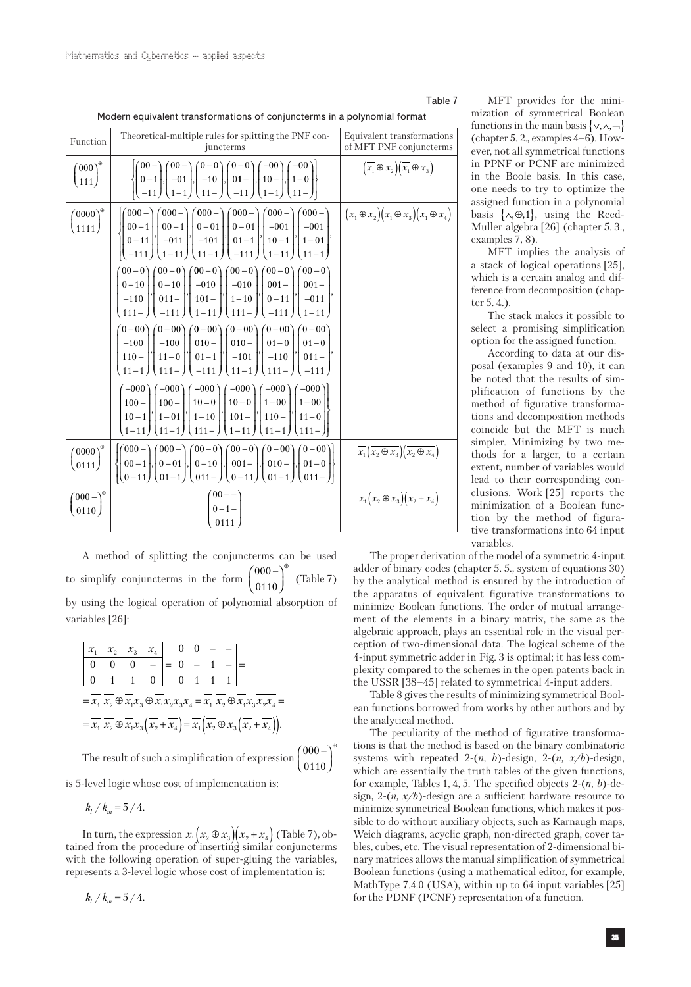## Table 7

| Function                          | Theoretical-multiple rules for splitting the PNF con-<br>juncterms                                                                                                                                                                                                                                                                                                                                                                                                                                                                                                                                                                                                                                                                                                                                                                                                                                                                                                                                                                                                                                                                                                                                                                                                                                                                                                                                                                                                                                                                                                                                                                                                               | Equivalent transformations<br>of MFT PNF conjuncterms                                                                  |
|-----------------------------------|----------------------------------------------------------------------------------------------------------------------------------------------------------------------------------------------------------------------------------------------------------------------------------------------------------------------------------------------------------------------------------------------------------------------------------------------------------------------------------------------------------------------------------------------------------------------------------------------------------------------------------------------------------------------------------------------------------------------------------------------------------------------------------------------------------------------------------------------------------------------------------------------------------------------------------------------------------------------------------------------------------------------------------------------------------------------------------------------------------------------------------------------------------------------------------------------------------------------------------------------------------------------------------------------------------------------------------------------------------------------------------------------------------------------------------------------------------------------------------------------------------------------------------------------------------------------------------------------------------------------------------------------------------------------------------|------------------------------------------------------------------------------------------------------------------------|
| $\left(000\right)^{\circ}$<br>111 | $\begin{pmatrix} 00- \\ 0-1 \\ -11 \end{pmatrix}, \begin{pmatrix} 00- \\ -01 \\ 1-1 \end{pmatrix}, \begin{pmatrix} 0-0 \\ -10 \\ 11- \end{pmatrix}, \begin{pmatrix} 0-0 \\ 01- \\ -11 \end{pmatrix}, \begin{pmatrix} -00 \\ 10- \\ 1-1 \end{pmatrix}, \begin{pmatrix} -00 \\ 1-0 \\ 11- \end{pmatrix}$                                                                                                                                                                                                                                                                                                                                                                                                                                                                                                                                                                                                                                                                                                                                                                                                                                                                                                                                                                                                                                                                                                                                                                                                                                                                                                                                                                           | $\left(\overline{x_1}\oplus x_2\right)\left(\overline{x_1}\oplus x_3\right)$                                           |
| $(0000)^{\circ}$<br>1111          | $\begin{bmatrix} 00-1 \\ 0-11 \end{bmatrix}, \begin{bmatrix} 00-1 \\ -011 \end{bmatrix}, \begin{bmatrix} 0-01 \\ -101 \end{bmatrix}, \begin{bmatrix} 0-01 \\ 01-1 \end{bmatrix}, \begin{bmatrix} -001 \\ 10-1 \end{bmatrix}, \begin{bmatrix} -001 \\ 1-01 \end{bmatrix},$<br>$(11-1)(-111)(1-11)(11-1)$<br>$(00-0)$ $(00-0)$ $(00-0)$ $(00-0)$ $(00-0)$ $(00-0)$<br>$\begin{bmatrix} 0-10 \\ -110 \end{bmatrix}$ , $\begin{bmatrix} 0-10 \\ 011 \end{bmatrix}$ , $\begin{bmatrix} -010 \\ 101 \end{bmatrix}$ , $\begin{bmatrix} -010 \\ 1-10 \end{bmatrix}$ , $\begin{bmatrix} 001- \\ 0-11 \end{bmatrix}$ , $\begin{bmatrix} 001- \\ -011 \end{bmatrix}$<br>$111 - 1$ $-111$ $1 \cdot 1 -11$ $1 \cdot 11 - 1$ $-111$ $1 \cdot 1 -11$<br>$(0-00)$ $(0-00)$ $(0-00)$ $(0-00)$ $(0-00)$ $(0-00)$<br>$\begin{bmatrix} -100 \\ 110 - \end{bmatrix}$ , $\begin{bmatrix} -100 \\ 11 - 0 \end{bmatrix}$ , $\begin{bmatrix} 010 - \\ 01 - 1 \end{bmatrix}$ , $\begin{bmatrix} 010 - \\ -101 \end{bmatrix}$ , $\begin{bmatrix} 01 - 0 \\ -110 \end{bmatrix}$ , $\begin{bmatrix} 01 - 0 \\ 011 - \end{bmatrix}$<br>$\left(111 - \right) \left( -111 \right) \left( 11 - 1 \right) \left( 111 - \right) \left( -111 \right)$<br>$11 - 1$<br>$\begin{pmatrix} -000 \\ 100 - \end{pmatrix} \begin{pmatrix} -000 \\ 100 - \end{pmatrix} \begin{pmatrix} -000 \\ 10 - 0 \end{pmatrix} \begin{pmatrix} -000 \\ 10 - 0 \end{pmatrix} \begin{pmatrix} -000 \\ 1 - 00 \end{pmatrix} \begin{pmatrix} -000 \\ 1 - 00 \end{pmatrix}$<br>$10-1$  '  $1-01$  '  $1-10$  '  $101-$  '  $110-$  '  $11-0$  <br>$1 - 11$<br>$(11 - 1)$<br>$\left(111 - \right) \left(1 - 11\right)$<br>$(11 - 1)$<br>$111-$ | $\left(\overline{x_1} \oplus x_2\right) \left(\overline{x_1} \oplus x_3\right) \left(\overline{x_1} \oplus x_4\right)$ |
| $(0000)^{\circ}$<br>(0111)        | $(000 - (000 - (00 - 0) (00 - 0) (0 - 0)) (0 - 00))$<br>$\begin{bmatrix} 00-1 \\ 0-11 \end{bmatrix}, \begin{bmatrix} 0-01 \\ 01-1 \end{bmatrix}, \begin{bmatrix} 0-10 \\ 011- \end{bmatrix}, \begin{bmatrix} 001- \\ 0-11 \end{bmatrix}, \begin{bmatrix} 010- \\ 01-1 \end{bmatrix}, \begin{bmatrix} 01-0 \\ 011- \end{bmatrix}$                                                                                                                                                                                                                                                                                                                                                                                                                                                                                                                                                                                                                                                                                                                                                                                                                                                                                                                                                                                                                                                                                                                                                                                                                                                                                                                                                 | $\overline{x_1(x_2 \oplus x_3)}(\overline{x_2 \oplus x_4})$                                                            |
| $(000 - )^{\circ}$<br>0110        | $\binom{00}{0}$ - 1 -                                                                                                                                                                                                                                                                                                                                                                                                                                                                                                                                                                                                                                                                                                                                                                                                                                                                                                                                                                                                                                                                                                                                                                                                                                                                                                                                                                                                                                                                                                                                                                                                                                                            | $\overline{x_1(x_2 \oplus x_3)}(\overline{x_2} + \overline{x_4})$                                                      |

A method of splitting the conjuncterms can be used to simplify conjuncterms in the form  $\begin{pmatrix} 000 \\ 0110 \end{pmatrix}$ ∫ 000 – l Ľ  $\overline{1}$ ⊕ (Table 7) by using the logical operation of polynomial absorption of variables [26]:

*x x x x x x x x x x x x x x x x* 1 2 3 4 1 2 1 3 1 2 3 4 1 2 1 0 0 0 0 1 1 0 0 0 0 1 0 111 − = − − − − = = ⊕ ⊕ = ⊕ 3 2 <sup>4</sup> 1 2 1 3 2 4 1 2 3 2 4 *x x x x x x x x x x x x x* = = ⊕ ( ) + = ⊕ ( ) ( ) + . − 

 $(0110)$ 

⊕

∖

The result of such a simplification of expression

is 5-level logic whose cost of implementation is:

$$
k_l / k_m = 5 / 4.
$$

In turn, the expression  $\overline{x_1(x_2 \oplus x_3)(x_2 + x_4)}$  (Table 7), obtained from the procedure of inserting similar conjuncterms with the following operation of super-gluing the variables, represents a 3-level logic whose cost of implementation is:

 $k_l / k_m = 5 / 4.$ 

MFT provides for the minimization of symmetrical Boolean functions in the main basis  $\{\vee, \wedge, \neg\}$ (chapter 5. 2., examples 4–6). However, not all symmetrical functions in PPNF or PCNF are minimized in the Boole basis. In this case, one needs to try to optimize the assigned function in a polynomial basis  $\{\wedge, \oplus, 1\}$ , using the Reed-Muller algebra [26] (chapter 5. 3., examples 7, 8).

MFT implies the analysis of a stack of logical operations [25], which is a certain analog and difference from decomposition (chapter 5. 4.).

The stack makes it possible to select a promising simplification option for the assigned function.

According to data at our disposal (examples 9 and 10), it can be noted that the results of simplification of functions by the method of figurative transformations and decomposition methods coincide but the MFT is much simpler. Minimizing by two methods for a larger, to a certain extent, number of variables would lead to their corresponding conclusions. Work [25] reports the minimization of a Boolean function by the method of figurative transformations into 64 input variables.

The proper derivation of the model of a symmetric 4-input adder of binary codes (chapter 5. 5., system of equations 30) by the analytical method is ensured by the introduction of the apparatus of equivalent figurative transformations to minimize Boolean functions. The order of mutual arrangement of the elements in a binary matrix, the same as the algebraic approach, plays an essential role in the visual perception of two-dimensional data. The logical scheme of the 4-input symmetric adder in Fig. 3 is optimal; it has less complexity compared to the schemes in the open patents back in the USSR [38–45] related to symmetrical 4-input adders.

Table 8 gives the results of minimizing symmetrical Boolean functions borrowed from works by other authors and by the analytical method.

The peculiarity of the method of figurative transformations is that the method is based on the binary combinatoric systems with repeated  $2-(n, b)$ -design,  $2-(n, x/b)$ -design, which are essentially the truth tables of the given functions, for example, Tables 1, 4, 5. The specified objects 2-(*n*, *b*)-design, 2-(*n, x/b*)-design are a sufficient hardware resource to minimize symmetrical Boolean functions, which makes it possible to do without auxiliary objects, such as Karnaugh maps, Weich diagrams, acyclic graph, non-directed graph, cover tables, cubes, etc. The visual representation of 2-dimensional binary matrices allows the manual simplification of symmetrical Boolean functions (using a mathematical editor, for example, MathType 7.4.0 (USA), within up to 64 input variables [25] for the PDNF (PCNF) representation of a function.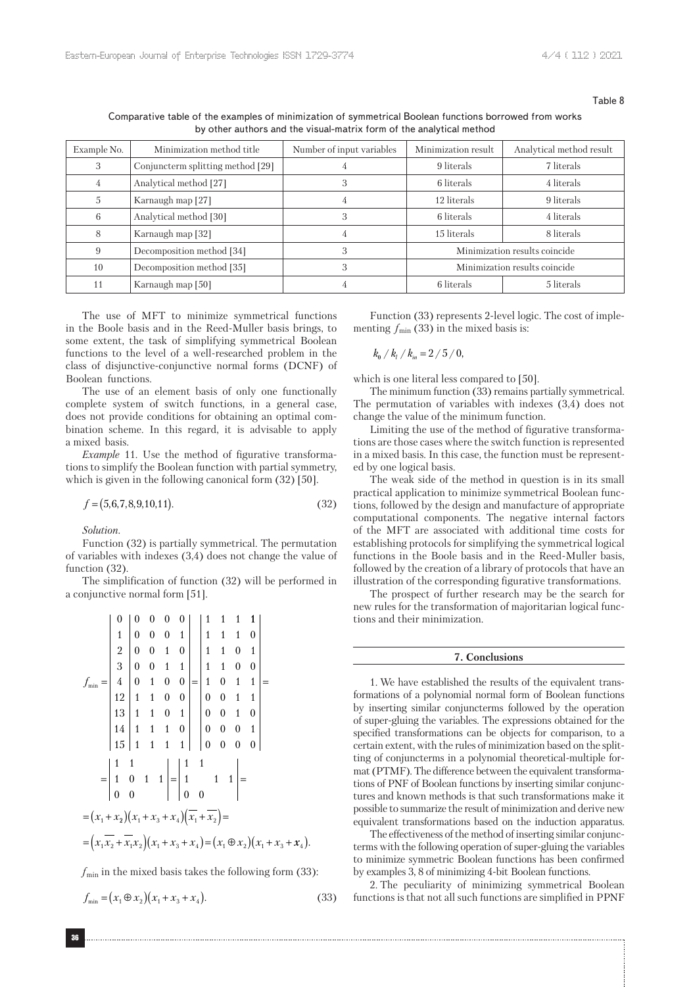Table 8

Comparative table of the examples of minimization of symmetrical Boolean functions borrowed from works by other authors and the visual-matrix form of the analytical method

| Example No. | Minimization method title         | Number of input variables | Minimization result           | Analytical method result |
|-------------|-----------------------------------|---------------------------|-------------------------------|--------------------------|
| 3           | Conjuncterm splitting method [29] |                           | 9 literals                    | 7 literals               |
| 4           | Analytical method [27]            |                           | 6 literals                    | 4 literals               |
| 5           | Karnaugh map [27]                 | 4                         | 12 literals                   | 9 literals               |
| 6           | Analytical method [30]            | 3                         | 6 literals                    | 4 literals               |
| 8           | Karnaugh map [32]                 |                           | 15 literals                   | 8 literals               |
| 9           | Decomposition method [34]         | 3                         | Minimization results coincide |                          |
| 10          | Decomposition method [35]         |                           | Minimization results coincide |                          |
| 11          | Karnaugh map [50]                 |                           | 6 literals                    | 5 literals               |

The use of MFT to minimize symmetrical functions in the Boole basis and in the Reed-Muller basis brings, to some extent, the task of simplifying symmetrical Boolean functions to the level of a well-researched problem in the class of disjunctive-conjunctive normal forms (DCNF) of Boolean functions.

The use of an element basis of only one functionally complete system of switch functions, in a general case, does not provide conditions for obtaining an optimal combination scheme. In this regard, it is advisable to apply a mixed basis.

*Example* 11. Use the method of figurative transformations to simplify the Boolean function with partial symmetry, which is given in the following canonical form  $(32)$  [50].

$$
f = (5,6,7,8,9,10,11). \tag{32}
$$

*Solution*.

Function (32) is partially symmetrical. The permutation of variables with indexes (3,4) does not change the value of function (32).

The simplification of function (32) will be performed in a conjunctive normal form [51].

$$
f_{\min} = \begin{vmatrix} 0 & 0 & 0 & 0 & 0 \\ 1 & 0 & 0 & 0 & 1 \\ 2 & 0 & 0 & 1 & 0 \\ 3 & 0 & 0 & 1 & 1 \\ 4 & 0 & 1 & 0 & 0 \\ 12 & 1 & 1 & 0 & 0 \\ 14 & 1 & 1 & 0 & 1 \\ 15 & 1 & 1 & 1 & 1 \end{vmatrix} = \begin{vmatrix} 1 & 1 & 1 & 1 \\ 1 & 1 & 1 & 0 \\ 1 & 1 & 0 & 1 \\ 1 & 0 & 1 & 1 \\ 0 & 0 & 1 & 1 \\ 0 & 0 & 0 & 1 \end{vmatrix} = \begin{vmatrix} 1 & 1 & 1 & 0 \\ 1 & 0 & 1 & 1 \\ 0 & 0 & 1 & 0 \\ 0 & 0 & 0 & 1 \\ 0 & 0 & 0 & 0 \end{vmatrix}
$$

$$
= \begin{vmatrix} 1 & 1 & 1 & 1 \\ 1 & 0 & 1 & 1 \\ 0 & 0 & 1 & 1 \\ 0 & 0 & 0 & 1 \end{vmatrix} = \begin{vmatrix} 1 & 1 & 1 & 1 \\ 1 & 1 & 1 & 1 \\ 0 & 0 & 0 & 1 \\ 0 & 0 & 0 & 1 \end{vmatrix} = (x_1 + x_2)(x_1 + x_3 + x_4)(\overline{x_1} + \overline{x_2}) =
$$

$$
= (x_1 \overline{x_2} + \overline{x_1}x_2)(x_1 + x_3 + x_4) = (x_1 \oplus x_2)(x_1 + x_3 + x_4).
$$

 $f_{\text{min}}$  in the mixed basis takes the following form (33):

$$
f_{\min} = (x_1 \oplus x_2)(x_1 + x_3 + x_4). \tag{33}
$$

Function (33) represents 2-level logic. The cost of implementing  $f_{\text{min}}$  (33) in the mixed basis is:

$$
k_{\rm e} / k_{\rm i} / k_{\rm in} = 2 / 5 / 0,
$$

which is one literal less compared to [50].

The minimum function (33) remains partially symmetrical. The permutation of variables with indexes (3,4) does not change the value of the minimum function.

Limiting the use of the method of figurative transformations are those cases where the switch function is represented in a mixed basis. In this case, the function must be represented by one logical basis.

The weak side of the method in question is in its small practical application to minimize symmetrical Boolean functions, followed by the design and manufacture of appropriate computational components. The negative internal factors of the MFT are associated with additional time costs for establishing protocols for simplifying the symmetrical logical functions in the Boole basis and in the Reed-Muller basis, followed by the creation of a library of protocols that have an illustration of the corresponding figurative transformations.

The prospect of further research may be the search for new rules for the transformation of majoritarian logical functions and their minimization.

#### **7. Conclusions**

1. We have established the results of the equivalent transformations of a polynomial normal form of Boolean functions by inserting similar conjuncterms followed by the operation of super-gluing the variables. The expressions obtained for the specified transformations can be objects for comparison, to a certain extent, with the rules of minimization based on the splitting of conjuncterms in a polynomial theoretical-multiple format (PTMF). The difference between the equivalent transformations of PNF of Boolean functions by inserting similar conjunctures and known methods is that such transformations make it possible to summarize the result of minimization and derive new equivalent transformations based on the induction apparatus.

The effectiveness of the method of inserting similar conjuncterms with the following operation of super-gluing the variables to minimize symmetric Boolean functions has been confirmed by examples 3, 8 of minimizing 4-bit Boolean functions.

2. The peculiarity of minimizing symmetrical Boolean functions is that not all such functions are simplified in PPNF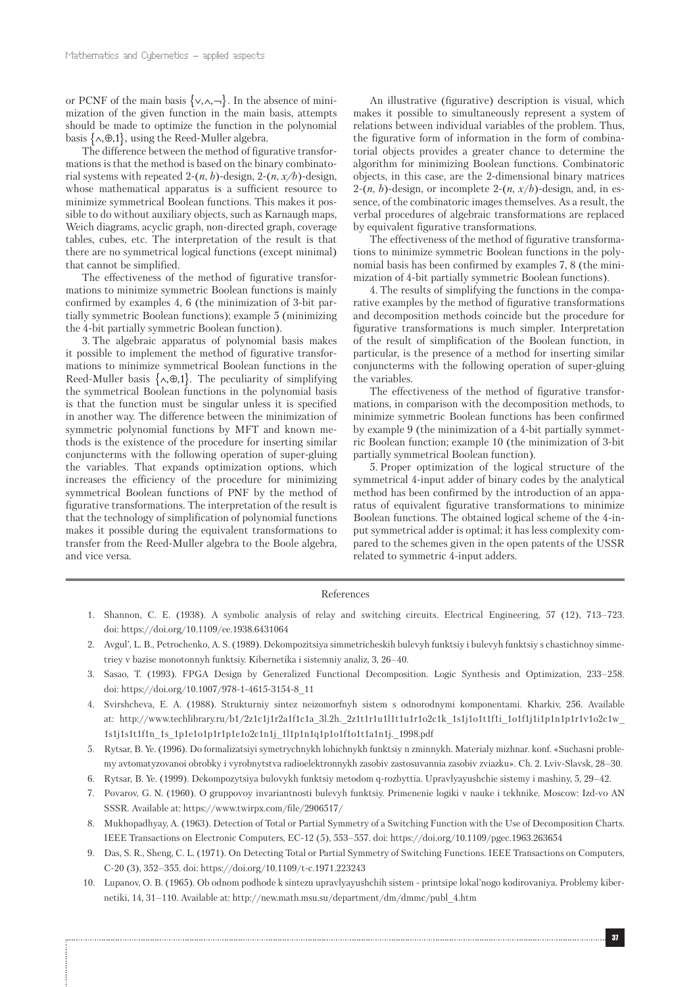or PCNF of the main basis  $\{ \vee, \wedge, \neg \}$ . In the absence of minimization of the given function in the main basis, attempts should be made to optimize the function in the polynomial basis  $\{\wedge, \oplus, 1\}$ , using the Reed-Muller algebra.

The difference between the method of figurative transformations is that the method is based on the binary combinatorial systems with repeated 2-(*n*, *b*)-design, 2-(*n, x/b*)-design, whose mathematical apparatus is a sufficient resource to minimize symmetrical Boolean functions. This makes it possible to do without auxiliary objects, such as Karnaugh maps, Weich diagrams, acyclic graph, non-directed graph, coverage tables, cubes, etc. The interpretation of the result is that there are no symmetrical logical functions (except minimal) that cannot be simplified.

The effectiveness of the method of figurative transformations to minimize symmetric Boolean functions is mainly confirmed by examples 4, 6 (the minimization of 3-bit partially symmetric Boolean functions); example 5 (minimizing the 4-bit partially symmetric Boolean function).

3. The algebraic apparatus of polynomial basis makes it possible to implement the method of figurative transformations to minimize symmetrical Boolean functions in the Reed-Muller basis  $\{\wedge, \oplus, 1\}$ . The peculiarity of simplifying the symmetrical Boolean functions in the polynomial basis is that the function must be singular unless it is specified in another way. The difference between the minimization of symmetric polynomial functions by MFT and known methods is the existence of the procedure for inserting similar conjuncterms with the following operation of super-gluing the variables. That expands optimization options, which increases the efficiency of the procedure for minimizing symmetrical Boolean functions of PNF by the method of figurative transformations. The interpretation of the result is that the technology of simplification of polynomial functions makes it possible during the equivalent transformations to transfer from the Reed-Muller algebra to the Boole algebra, and vice versa.

An illustrative (figurative) description is visual, which makes it possible to simultaneously represent a system of relations between individual variables of the problem. Thus, the figurative form of information in the form of combinatorial objects provides a greater chance to determine the algorithm for minimizing Boolean functions. Combinatoric objects, in this case, are the 2-dimensional binary matrices 2- $(n, b)$ -design, or incomplete 2- $(n, x/b)$ -design, and, in essence, of the combinatoric images themselves. As a result, the verbal procedures of algebraic transformations are replaced by equivalent figurative transformations.

The effectiveness of the method of figurative transformations to minimize symmetric Boolean functions in the polynomial basis has been confirmed by examples 7, 8 (the minimization of 4-bit partially symmetric Boolean functions).

4. The results of simplifying the functions in the comparative examples by the method of figurative transformations and decomposition methods coincide but the procedure for figurative transformations is much simpler. Interpretation of the result of simplification of the Boolean function, in particular, is the presence of a method for inserting similar conjuncterms with the following operation of super-gluing the variables.

The effectiveness of the method of figurative transformations, in comparison with the decomposition methods, to minimize symmetric Boolean functions has been confirmed by example 9 (the minimization of a 4-bit partially symmetric Boolean function; example 10 (the minimization of 3-bit partially symmetrical Boolean function).

5. Proper optimization of the logical structure of the symmetrical 4-input adder of binary codes by the analytical method has been confirmed by the introduction of an apparatus of equivalent figurative transformations to minimize Boolean functions. The obtained logical scheme of the 4-input symmetrical adder is optimal; it has less complexity compared to the schemes given in the open patents of the USSR related to symmetric 4-input adders.

#### References

- 1. Shannon, C. E. (1938). A symbolic analysis of relay and switching circuits. Electrical Engineering, 57 (12), 713–723. doi: https://doi.org/10.1109/ee.1938.6431064
- 2. Avgul', L. B., Petrochenko, A. S. (1989). Dekompozitsiya simmetricheskih bulevyh funktsiy i bulevyh funktsiy s chastichnoy simmetriey v bazise monotonnyh funktsiy. Kibernetika i sistemniy analiz, 3, 26–40.
- 3. Sasao, T. (1993). FPGA Design by Generalized Functional Decomposition. Logic Synthesis and Optimization, 233–258. doi: https://doi.org/10.1007/978-1-4615-3154-8\_11
- 4. Svirshcheva, E. A. (1988). Strukturniy sintez neizomorfnyh sistem s odnorodnymi komponentami. Kharkiv, 256. Available at: http://www.techlibrary.ru/b1/2z1c1j1r2a1f1c1a\_3l.2h.\_2z1t1r1u1l1t1u1r1o2c1k\_1s1j1o1t1f1i\_1o1f1j1i1p1n1p1r1v1o2c1w\_ 1s1j1s1t1f1n\_1s\_1p1e1o1p1r1p1e1o2c1n1j\_1l1p1n1q1p1o1f1o1t1a1n1j.\_1998.pdf
- 5. Rytsar, B. Ye. (1996). Do formalizatsiyi symetrychnykh lohichnykh funktsiy n zminnykh. Materialy mizhnar. konf. «Suchasni problemy avtomatyzovanoi obrobky i vyrobnytstva radioelektronnykh zasobiv zastosuvannia zasobiv zviazku». Ch. 2. Lviv-Slavsk, 28–30.
- 6. Rytsar, B. Ye. (1999). Dekompozytsiya bulovykh funktsiy metodom q-rozbyttia. Upravlyayushchie sistemy i mashiny, 5, 29–42.
- 7. Povarov, G. N. (1960). O gruppovoy invariantnosti bulevyh funktsiy. Primenenie logiki v nauke i tekhnike. Moscow: Izd-vo AN SSSR. Available at: https://www.twirpx.com/file/2906517/
- 8. Mukhopadhyay, A. (1963). Detection of Total or Partial Symmetry of a Switching Function with the Use of Decomposition Charts. IEEE Transactions on Electronic Computers, EC-12 (5), 553–557. doi: https://doi.org/10.1109/pgec.1963.263654
- 9. Das, S. R., Sheng, C. L. (1971). On Detecting Total or Partial Symmetry of Switching Functions. IEEE Transactions on Computers, C-20 (3), 352–355. doi: https://doi.org/10.1109/t-c.1971.223243
- 10. Lupanov, O. B. (1965). Ob odnom podhode k sintezu upravlyayushchih sistem printsipe lokal'nogo kodirovaniya. Problemy kibernetiki, 14, 31–110. Available at: http://new.math.msu.su/department/dm/dmmc/publ\_4.htm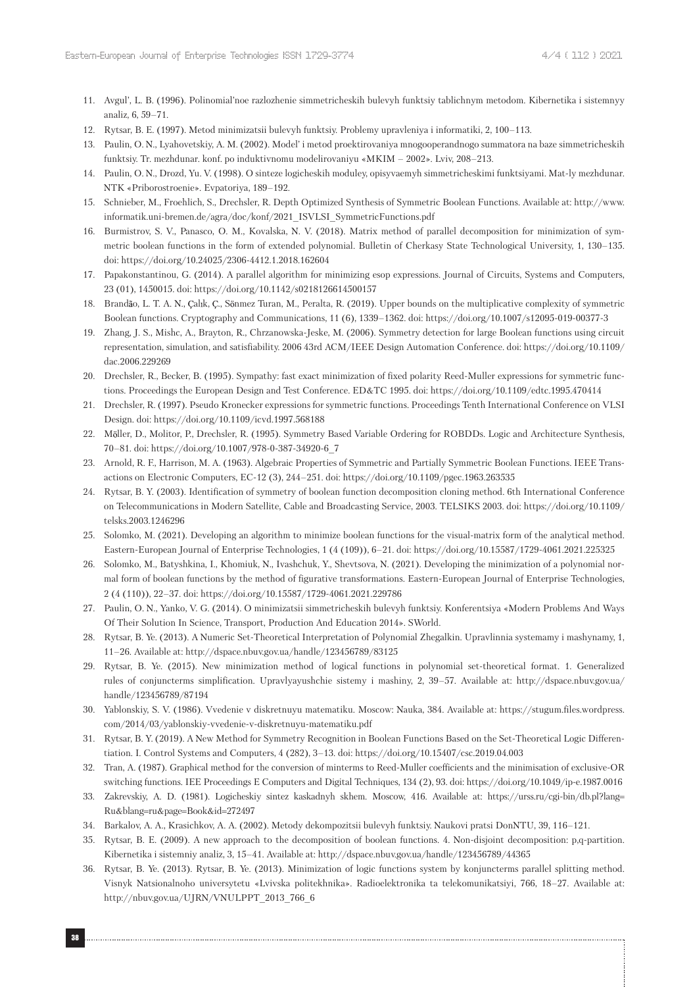- 11. Avgul', L. B. (1996). Polinomial'noe razlozhenie simmetricheskih bulevyh funktsiy tablichnym metodom. Kibernetika i sistemnyy analiz, 6, 59–71.
- 12. Rytsar, B. E. (1997). Metod minimizatsii bulevyh funktsiy. Problemy upravleniya i informatiki, 2, 100–113.
- 13. Paulin, O. N., Lyahovetskiy, A. M. (2002). Model' i metod proektirovaniya mnogooperandnogo summatora na baze simmetricheskih funktsiy. Tr. mezhdunar. konf. po induktivnomu modelirovaniyu «MKIM – 2002». Lviv, 208–213.
- 14. Paulin, O. N., Drozd, Yu. V. (1998). O sinteze logicheskih moduley, opisyvaemyh simmetricheskimi funktsiyami. Mat-ly mezhdunar. NTK «Priborostroenie». Evpatoriya, 189–192.
- 15. Schnieber, M., Froehlich, S., Drechsler, R. Depth Optimized Synthesis of Symmetric Boolean Functions. Available at: http://www. informatik.uni-bremen.de/agra/doc/konf/2021\_ISVLSI\_SymmetricFunctions.pdf
- 16. Burmistrov, S. V., Panasco, O. M., Kovalska, N. V. (2018). Matrix method of parallel decomposition for minimization of symmetric boolean functions in the form of extended polynomial. Bulletin of Cherkasy State Technological University, 1, 130–135. doi: https://doi.org/10.24025/2306-4412.1.2018.162604
- 17. Papakonstantinou, G. (2014). A parallel algorithm for minimizing esop expressions. Journal of Circuits, Systems and Computers, 23 (01), 1450015. doi: https://doi.org/10.1142/s0218126614500157
- 18. Brandão, L. T. A. N., Çalık, Ç., Sönmez Turan, M., Peralta, R. (2019). Upper bounds on the multiplicative complexity of symmetric Boolean functions. Cryptography and Communications, 11 (6), 1339–1362. doi: https://doi.org/10.1007/s12095-019-00377-3
- 19. Zhang, J. S., Mishc, A., Brayton, R., Chrzanowska-Jeske, M. (2006). Symmetry detection for large Boolean functions using circuit representation, simulation, and satisfiability. 2006 43rd ACM/IEEE Design Automation Conference. doi: https://doi.org/10.1109/ dac.2006.229269
- 20. Drechsler, R., Becker, B. (1995). Sympathy: fast exact minimization of fixed polarity Reed-Muller expressions for symmetric functions. Proceedings the European Design and Test Conference. ED&TC 1995. doi: https://doi.org/10.1109/edtc.1995.470414
- 21. Drechsler, R. (1997). Pseudo Kronecker expressions for symmetric functions. Proceedings Tenth International Conference on VLSI Design. doi: https://doi.org/10.1109/icvd.1997.568188
- 22. Möller, D., Molitor, P., Drechsler, R. (1995). Symmetry Based Variable Ordering for ROBDDs. Logic and Architecture Synthesis, 70–81. doi: https://doi.org/10.1007/978-0-387-34920-6\_7
- 23. Arnold, R. F., Harrison, M. A. (1963). Algebraic Properties of Symmetric and Partially Symmetric Boolean Functions. IEEE Transactions on Electronic Computers, EC-12 (3), 244–251. doi: https://doi.org/10.1109/pgec.1963.263535
- 24. Rytsar, B. Y. (2003). Identification of symmetry of boolean function decomposition cloning method. 6th International Conference on Telecommunications in Modern Satellite, Cable and Broadcasting Service, 2003. TELSIKS 2003. doi: https://doi.org/10.1109/ telsks.2003.1246296
- 25. Solomko, M. (2021). Developing an algorithm to minimize boolean functions for the visual-matrix form of the analytical method. Eastern-European Journal of Enterprise Technologies, 1 (4 (109)), 6–21. doi: https://doi.org/10.15587/1729-4061.2021.225325
- 26. Solomko, M., Batyshkina, I., Khomiuk, N., Ivashchuk, Y., Shevtsova, N. (2021). Developing the minimization of a polynomial normal form of boolean functions by the method of figurative transformations. Eastern-European Journal of Enterprise Technologies, 2 (4 (110)), 22–37. doi: https://doi.org/10.15587/1729-4061.2021.229786
- 27. Paulin, O. N., Yanko, V. G. (2014). O minimizatsii simmetricheskih bulevyh funktsiy. Konferentsiya «Modern Problems And Ways Of Their Solution In Science, Transport, Production And Education 2014». SWorld.
- 28. Rytsar, B. Ye. (2013). A Numeric Set-Theoretical Interpretation of Polynomial Zhegalkin. Upravlinnia systemamy i mashynamy, 1, 11–26. Available at: http://dspace.nbuv.gov.ua/handle/123456789/83125
- 29. Rytsar, B. Ye. (2015). New minimization method of logical functions in polynomial set-theoretical format. 1. Generalized rules of conjuncterms simplification. Upravlyayushchie sistemy i mashiny, 2, 39–57. Available at: http://dspace.nbuv.gov.ua/ handle/123456789/87194
- 30. Yablonskiy, S. V. (1986). Vvedenie v diskretnuyu matematiku. Moscow: Nauka, 384. Available at: https://stugum.files.wordpress. com/2014/03/yablonskiy-vvedenie-v-diskretnuyu-matematiku.pdf
- 31. Rytsar, B. Y. (2019). A New Method for Symmetry Recognition in Boolean Functions Based on the Set-Theoretical Logic Differentiation. I. Control Systems and Computers, 4 (282), 3–13. doi: https://doi.org/10.15407/csc.2019.04.003
- 32. Tran, A. (1987). Graphical method for the conversion of minterms to Reed-Muller coefficients and the minimisation of exclusive-OR switching functions. IEE Proceedings E Computers and Digital Techniques, 134 (2), 93. doi: https://doi.org/10.1049/ip-e.1987.0016
- 33. Zakrevskiy, A. D. (1981). Logicheskiy sintez kaskadnyh skhem. Moscow, 416. Available at: https://urss.ru/cgi-bin/db.pl?lang= Ru&blang=ru&page=Book&id=272497
- 34. Barkalov, A. A., Krasichkov, A. A. (2002). Metody dekompozitsii bulevyh funktsiy. Naukovi pratsi DonNTU, 39, 116–121.
- 35. Rytsar, B. E. (2009). A new approach to the decomposition of boolean functions. 4. Non-disjoint decomposition: p,q-partition. Kibernetika i sistemniy analiz, 3, 15–41. Available at: http://dspace.nbuv.gov.ua/handle/123456789/44365
- 36. Rytsar, B. Ye. (2013). Rytsar, B. Ye. (2013). Minimization of logic functions system by konjuncterms parallel splitting method. Visnyk Natsionalnoho universytetu «Lvivska politekhnika». Radioelektronika ta telekomunikatsiyi, 766, 18–27. Available at: http://nbuv.gov.ua/UJRN/VNULPPT\_2013\_766\_6